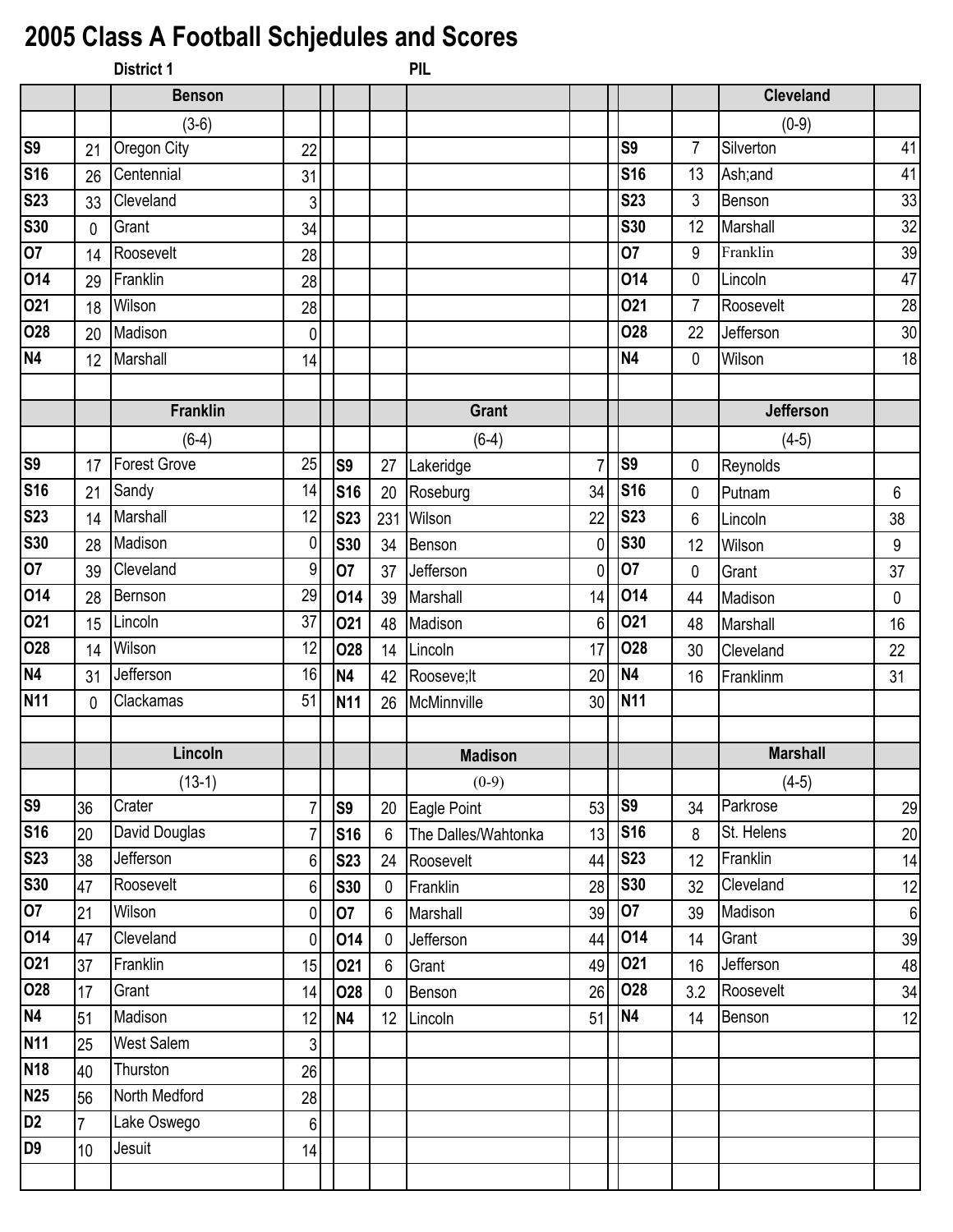## **2005 Class A Football Schjedules and Scores**

|                |                | District 1          |                |                |                | PIL                 |                |                 |                |                  |                  |
|----------------|----------------|---------------------|----------------|----------------|----------------|---------------------|----------------|-----------------|----------------|------------------|------------------|
|                |                | <b>Benson</b>       |                |                |                |                     |                |                 |                | <b>Cleveland</b> |                  |
|                |                | $(3-6)$             |                |                |                |                     |                |                 |                | $(0-9)$          |                  |
| <b>S9</b>      | 21             | Oregon City         | 22             |                |                |                     |                | lS9             | $\overline{7}$ | Silverton        | 41               |
| <b>S16</b>     | 26             | Centennial          | 31             |                |                |                     |                | <b>S16</b>      | 13             | Ash;and          | 41               |
| <b>S23</b>     | 33             | Cleveland           | 3              |                |                |                     |                | <b>S23</b>      | $\mathfrak{Z}$ | Benson           | 33               |
| <b>S30</b>     | $\mathbf 0$    | Grant               | 34             |                |                |                     |                | <b>S30</b>      | 12             | Marshall         | 32               |
| 07             | 14             | Roosevelt           | 28             |                |                |                     |                | <b>O7</b>       | 9              | Franklin         | 39               |
| 014            | 29             | Franklin            | 28             |                |                |                     |                | 014             | 0              | Lincoln          | 47               |
| 021            | 18             | Wilson              | 28             |                |                |                     |                | 021             | $\overline{7}$ | Roosevelt        | 28               |
| 028            | 20             | Madison             | $\pmb{0}$      |                |                |                     |                | 028             | 22             | Jefferson        | 30               |
| <b>N4</b>      | 12             | Marshall            | 14             |                |                |                     |                | N <sub>4</sub>  | $\mathbf 0$    | Wilson           | 18               |
|                |                |                     |                |                |                |                     |                |                 |                |                  |                  |
|                |                | <b>Franklin</b>     |                |                |                | <b>Grant</b>        |                |                 |                | Jefferson        |                  |
|                |                | $(6-4)$             |                |                |                | $(6-4)$             |                |                 |                | $(4-5)$          |                  |
| <b>S9</b>      | 17             | <b>Forest Grove</b> | 25             | S <sub>9</sub> | 27             | Lakeridge           | $\overline{7}$ | S9              | 0              | Reynolds         |                  |
| <b>S16</b>     | 21             | Sandy               | 14             | <b>S16</b>     | 20             | Roseburg            | 34             | <b>S16</b>      | 0              | Putnam           | $6\phantom{.}$   |
| <b>S23</b>     | 14             | Marshall            | 12             | <b>S23</b>     | 231            | Wilson              | 22             | <b>S23</b>      | 6              | Lincoln          | 38               |
| <b>S30</b>     | 28             | Madison             | 0              | <b>S30</b>     | 34             | Benson              | $\mathbf 0$    | <b>S30</b>      | 12             | Wilson           | $\boldsymbol{9}$ |
| 07             | 39             | Cleveland           | 9              | 07             | 37             | Jefferson           | $\mathbf 0$    | 07              | 0              | Grant            | 37               |
| 014            | 28             | Bernson             | 29             | 014            | 39             | Marshall            | 14             | 014             | 44             | Madison          | 0                |
| 021            | 15             | Lincoln             | 37             | 021            | 48             | Madison             | 6              | 021             | 48             | Marshall         | 16               |
| <b>O28</b>     | 14             | Wilson              | 12             | 028            | 14             | Lincoln             | 17             | 028             | 30             | Cleveland        | 22               |
| <b>N4</b>      | 31             | Jefferson           | 16             | N <sub>4</sub> | 42             | Rooseve; It         | 20             | <b>N4</b>       | 16             | Franklinm        | 31               |
| <b>N11</b>     | $\mathbf 0$    | Clackamas           | 51             | <b>N11</b>     | 26             | McMinnville         | 30             | N <sub>11</sub> |                |                  |                  |
|                |                |                     |                |                |                |                     |                |                 |                |                  |                  |
|                |                | Lincoln             |                |                |                | <b>Madison</b>      |                |                 |                | <b>Marshall</b>  |                  |
|                |                | $(13-1)$            |                |                |                | $(0-9)$             |                |                 |                | $(4-5)$          |                  |
| <b>S9</b>      | 36             | Crater              | $\overline{7}$ | S <sub>9</sub> | 20             | Eagle Point         | 53             | S <sub>9</sub>  | 34             | Parkrose         | 29               |
| <b>S16</b>     | 20             | David Douglas       | 7              | <b>S16</b>     | 6              | The Dalles/Wahtonka | 13             | <b>S16</b>      | 8              | St. Helens       | 20               |
| <b>S23</b>     | 38             | Jefferson           | 6              | <b>S23</b>     | 24             | Roosevelt           | 44             | <b>S23</b>      | 12             | Franklin         | 14               |
| <b>S30</b>     | 47             | Roosevelt           | 6              | <b>S30</b>     | $\mathbf 0$    | Franklin            | 28             | <b>S30</b>      | 32             | Cleveland        | 12               |
| 07             | 21             | Wilson              | 0              | 07             | 6              | Marshall            | 39             | 07              | 39             | Madison          | 6                |
| 014            | 47             | Cleveland           | 0              | 014            | $\mathbf 0$    | Jefferson           | 44             | 014             | 14             | Grant            | 39               |
| 021            | 37             | Franklin            | 15             | 021            | $6\phantom{1}$ | Grant               | 49             | 021             | 16             | Jefferson        | 48               |
| <b>O28</b>     | 17             | Grant               | 14             | <b>O28</b>     | $\Omega$       | Benson              | 26             | <b>O28</b>      | 3.2            | Roosevelt        | 34               |
| <b>N4</b>      | 51             | Madison             | 12             | <b>N4</b>      | 12             | Lincoln             | 51             | N <sub>4</sub>  | 14             | Benson           | 12               |
| <b>N11</b>     | 25             | <b>West Salem</b>   | 3              |                |                |                     |                |                 |                |                  |                  |
| <b>N18</b>     | 40             | Thurston            | 26             |                |                |                     |                |                 |                |                  |                  |
| <b>N25</b>     | 56             | North Medford       | 28             |                |                |                     |                |                 |                |                  |                  |
| D <sub>2</sub> | $\overline{7}$ | Lake Oswego         | $\,6$          |                |                |                     |                |                 |                |                  |                  |
| D <sub>9</sub> | 10             | Jesuit              | 14             |                |                |                     |                |                 |                |                  |                  |
|                |                |                     |                |                |                |                     |                |                 |                |                  |                  |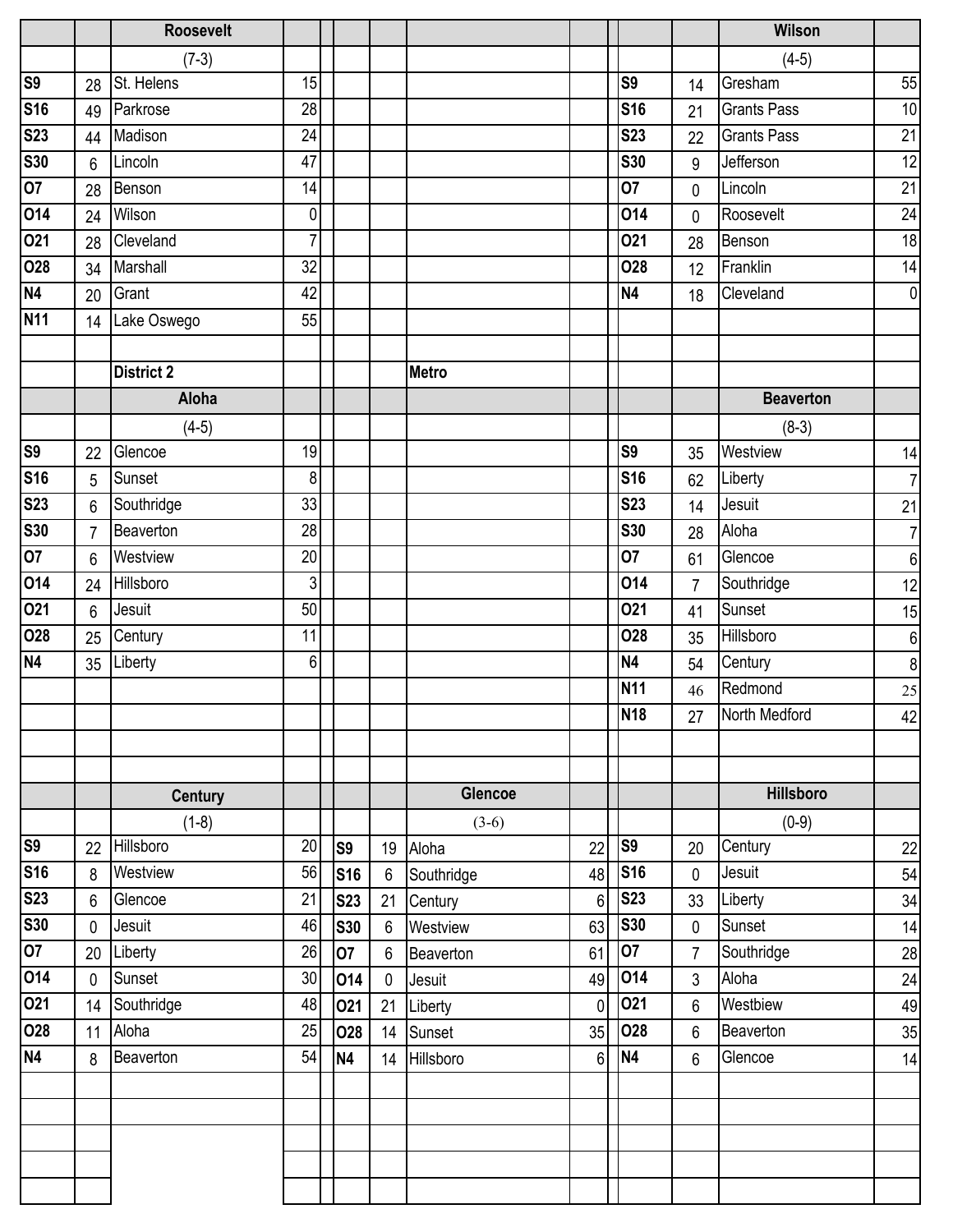|                          |                | <b>Roosevelt</b>  |                  |                |                |                |                |                 |                | Wilson             |                 |
|--------------------------|----------------|-------------------|------------------|----------------|----------------|----------------|----------------|-----------------|----------------|--------------------|-----------------|
|                          |                | $(7-3)$           |                  |                |                |                |                |                 |                | $(4-5)$            |                 |
| $\overline{\mathbf{S9}}$ | 28             | St. Helens        | 15               |                |                |                |                | S <sub>9</sub>  | 14             | Gresham            | 55              |
| <b>S16</b>               | 49             | Parkrose          | 28               |                |                |                |                | <b>S16</b>      | 21             | <b>Grants Pass</b> | 10              |
| <b>S23</b>               | 44             | Madison           | 24               |                |                |                |                | <b>S23</b>      | 22             | <b>Grants Pass</b> | $\overline{21}$ |
| <b>S30</b>               | 6              | Lincoln           | 47               |                |                |                |                | <b>S30</b>      | 9              | Jefferson          | $\overline{12}$ |
| $\overline{07}$          | 28             | Benson            | 14               |                |                |                |                | 07              | 0              | Lincoln            | 21              |
| 014                      | 24             | Wilson            | $\mathbf 0$      |                |                |                |                | 014             | $\mathbf 0$    | Roosevelt          | 24              |
| 021                      | 28             | Cleveland         | $\overline{7}$   |                |                |                |                | 021             | 28             | Benson             | 18              |
| <b>O28</b>               | 34             | Marshall          | 32               |                |                |                |                | 028             | 12             | Franklin           | 14              |
| N4                       | 20             | Grant             | 42               |                |                |                |                | N <sub>4</sub>  | 18             | Cleveland          | $\mathbf 0$     |
| <b>N11</b>               | 14             | Lake Oswego       | 55               |                |                |                |                |                 |                |                    |                 |
|                          |                |                   |                  |                |                |                |                |                 |                |                    |                 |
|                          |                | <b>District 2</b> |                  |                |                | <b>Metro</b>   |                |                 |                |                    |                 |
|                          |                | Aloha             |                  |                |                |                |                |                 |                | <b>Beaverton</b>   |                 |
|                          |                | $(4-5)$           |                  |                |                |                |                |                 |                | $(8-3)$            |                 |
| <b>S9</b>                | 22             | Glencoe           | 19               |                |                |                |                | S <sub>9</sub>  | 35             | Westview           | 14              |
| <b>S16</b>               | 5              | Sunset            | $\boldsymbol{8}$ |                |                |                |                | <b>S16</b>      | 62             | Liberty            | $\overline{7}$  |
| <b>S23</b>               | 6              | Southridge        | 33               |                |                |                |                | <b>S23</b>      | 14             | Jesuit             | 21              |
| <b>S30</b>               | $\overline{7}$ | Beaverton         | 28               |                |                |                |                | <b>S30</b>      | 28             | Aloha              | $\overline{7}$  |
| $\overline{07}$          | 6              | Westview          | 20               |                |                |                |                | 07              | 61             | Glencoe            | $6\,$           |
| 014                      | 24             | Hillsboro         | $\mathbf{3}$     |                |                |                |                | 014             | $\overline{7}$ | Southridge         | 12              |
| 021                      | 6              | Jesuit            | 50               |                |                |                |                | 021             | 41             | Sunset             | 15              |
| 028                      | 25             | Century           | 11               |                |                |                |                | 028             | 35             | Hillsboro          | 6               |
| <b>N4</b>                | 35             | Liberty           | 6                |                |                |                |                | N <sub>4</sub>  | 54             | Century            | $\delta$        |
|                          |                |                   |                  |                |                |                |                | N <sub>11</sub> | 46             | Redmond            | 25              |
|                          |                |                   |                  |                |                |                |                | <b>N18</b>      | 27             | North Medford      | 42              |
|                          |                |                   |                  |                |                |                |                |                 |                |                    |                 |
|                          |                |                   |                  |                |                |                |                |                 |                |                    |                 |
|                          |                | <b>Century</b>    |                  |                |                | <b>Glencoe</b> |                |                 |                | <b>Hillsboro</b>   |                 |
|                          |                | $(1-8)$           |                  |                |                | $(3-6)$        |                |                 |                | $(0-9)$            |                 |
| S9                       | 22             | Hillsboro         | 20               | S <sub>9</sub> | 19             | Aloha          | 22             | S <sub>9</sub>  | 20             | Century            | 22              |
| <b>S16</b>               | 8              | Westview          | 56               | <b>S16</b>     | 6              | Southridge     | 48             | <b>S16</b>      | 0              | Jesuit             | 54              |
| <b>S23</b>               | 6              | Glencoe           | 21               | <b>S23</b>     | 21             | Century        | 6              | <b>S23</b>      | 33             | Liberty            | 34              |
| <b>S30</b>               | 0              | Jesuit            | 46               | <b>S30</b>     | $6\phantom{1}$ | Westview       | 63             | <b>S30</b>      | 0              | Sunset             | 14              |
| $\overline{07}$          | 20             | Liberty           | 26               | 07             | $6\phantom{1}$ | Beaverton      | 61             | 07              | $\overline{7}$ | Southridge         | 28              |
| 014                      | 0              | Sunset            | 30               | 014            | $\mathbf 0$    | Jesuit         | 49             | 014             | 3              | Aloha              | 24              |
| 021                      | 14             | Southridge        | 48               | 021            | 21             | Liberty        | 0              | 021             | 6              | Westbiew           | 49              |
| 028                      | 11             | Aloha             | 25               | 028            | 14             | Sunset         | 35             | 028             | 6              | Beaverton          | 35              |
| <b>N4</b>                | 8              | Beaverton         | 54               | <b>N4</b>      | 14             | Hillsboro      | 6 <sup>1</sup> | N <sub>4</sub>  | 6              | Glencoe            | 14              |
|                          |                |                   |                  |                |                |                |                |                 |                |                    |                 |
|                          |                |                   |                  |                |                |                |                |                 |                |                    |                 |
|                          |                |                   |                  |                |                |                |                |                 |                |                    |                 |
|                          |                |                   |                  |                |                |                |                |                 |                |                    |                 |
|                          |                |                   |                  |                |                |                |                |                 |                |                    |                 |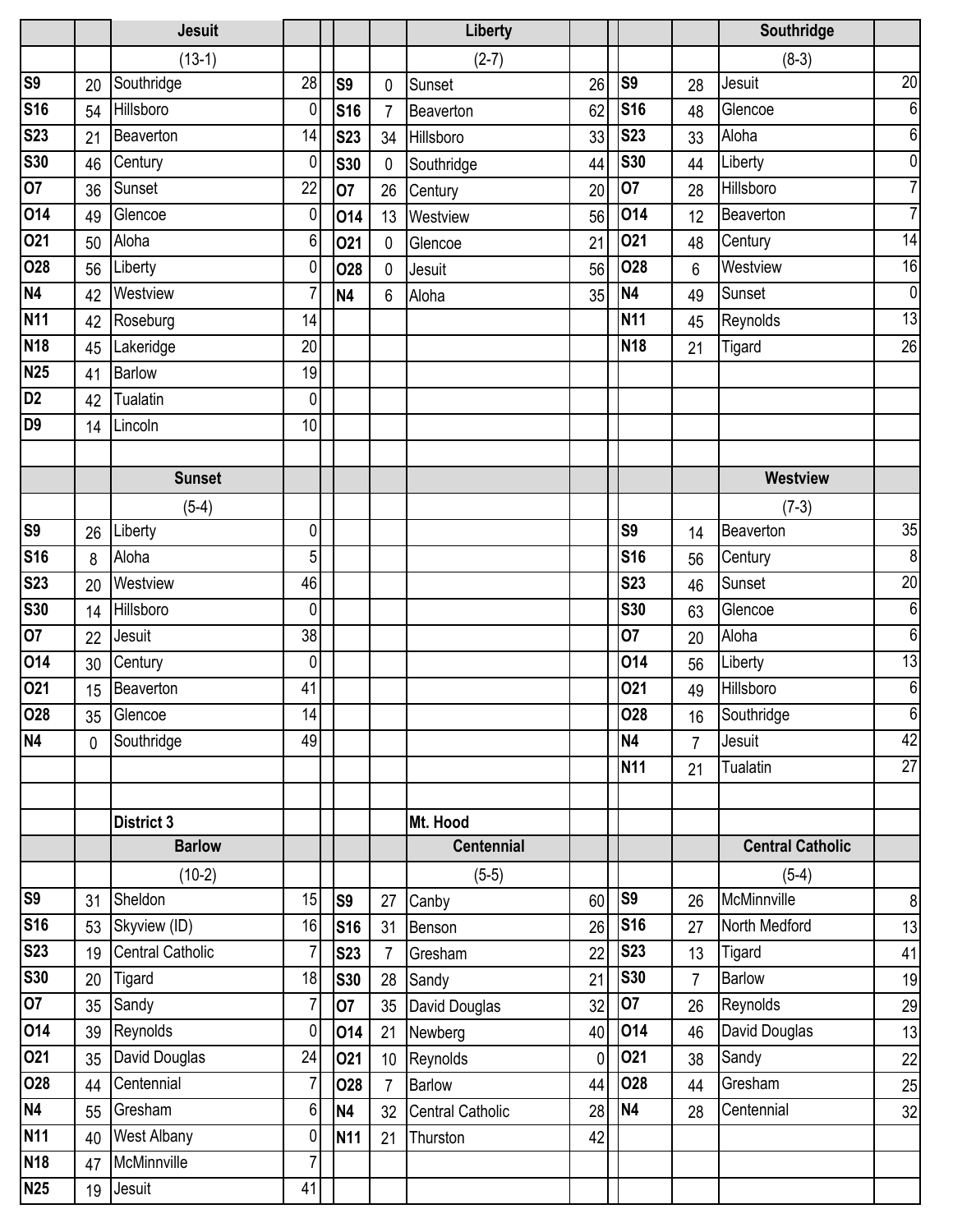|                          |              | <b>Jesuit</b>           |                |                |                | Liberty                 |             |                 |                | Southridge              |                 |
|--------------------------|--------------|-------------------------|----------------|----------------|----------------|-------------------------|-------------|-----------------|----------------|-------------------------|-----------------|
|                          |              | $(13-1)$                |                |                |                | $(2-7)$                 |             |                 |                | $(8-3)$                 |                 |
| S9                       | 20           | Southridge              | 28             | S <sub>9</sub> | $\mathbf 0$    | Sunset                  | 26          | S <sub>9</sub>  | 28             | Jesuit                  | $\overline{20}$ |
| <b>S16</b>               | 54           | Hillsboro               | 0              | <b>S16</b>     | $\overline{7}$ | Beaverton               | 62          | <b>S16</b>      | 48             | Glencoe                 | $6\phantom{1}$  |
| <b>S23</b>               | 21           | Beaverton               | 14             | <b>S23</b>     | 34             | Hillsboro               | 33          | <b>S23</b>      | 33             | Aloha                   | 6               |
| <b>S30</b>               | 46           | Century                 | 0              | <b>S30</b>     | $\mathbf{0}$   | Southridge              | 44          | <b>S30</b>      | 44             | Liberty                 | $\mathbf{0}$    |
| $\overline{07}$          | 36           | Sunset                  | 22             | 07             | 26             | Century                 | 20          | 07              | 28             | Hillsboro               | $\overline{7}$  |
| 014                      | 49           | Glencoe                 | 0              | 014            | 13             | Westview                | 56          | 014             | 12             | Beaverton               | $\overline{7}$  |
| 021                      | 50           | Aloha                   | $6\phantom{.}$ | 021            | $\mathbf 0$    | Glencoe                 | 21          | 021             | 48             | Century                 | 14              |
| 028                      | 56           | Liberty                 | 0              | 028            | $\mathbf 0$    | Jesuit                  | 56          | 028             | 6              | Westview                | 16              |
| N4                       | 42           | Westview                | 7              | <b>N4</b>      | 6              | Aloha                   | 35          | N <sub>4</sub>  | 49             | Sunset                  | $\mathbf 0$     |
| <b>N11</b>               | 42           | Roseburg                | 14             |                |                |                         |             | <b>N11</b>      | 45             | Reynolds                | $\overline{13}$ |
| <b>N18</b>               | 45           | Lakeridge               | 20             |                |                |                         |             | N <sub>18</sub> | 21             | Tigard                  | $\overline{26}$ |
| <b>N25</b>               | 41           | <b>Barlow</b>           | 19             |                |                |                         |             |                 |                |                         |                 |
| $\overline{D2}$          | 42           | Tualatin                | 0              |                |                |                         |             |                 |                |                         |                 |
| D <sub>9</sub>           | 14           | Lincoln                 | 10             |                |                |                         |             |                 |                |                         |                 |
|                          |              |                         |                |                |                |                         |             |                 |                |                         |                 |
|                          |              | <b>Sunset</b>           |                |                |                |                         |             |                 |                | <b>Westview</b>         |                 |
|                          |              | $(5-4)$                 |                |                |                |                         |             |                 |                | $(7-3)$                 |                 |
| $\overline{\mathsf{S9}}$ | 26           | Liberty                 | 0              |                |                |                         |             | S <sub>9</sub>  | 14             | Beaverton               | $\overline{35}$ |
| <b>S16</b>               | 8            | Aloha                   | 5              |                |                |                         |             | <b>S16</b>      | 56             | Century                 | $\overline{8}$  |
| <b>S23</b>               | 20           | Westview                | 46             |                |                |                         |             | <b>S23</b>      | 46             | Sunset                  | $\overline{20}$ |
| <b>S30</b>               | 14           | Hillsboro               | 0              |                |                |                         |             | <b>S30</b>      | 63             | Glencoe                 | $\overline{6}$  |
| 07                       | 22           | Jesuit                  | 38             |                |                |                         |             | 07              | 20             | Aloha                   | $\overline{6}$  |
| 014                      | 30           | Century                 | $\overline{0}$ |                |                |                         |             | 014             | 56             | Liberty                 | $\overline{13}$ |
| 021                      | 15           | Beaverton               | 41             |                |                |                         |             | 021             | 49             | Hillsboro               | $6\phantom{1}6$ |
| 028                      | 35           | Glencoe                 | 14             |                |                |                         |             | 028             | 16             | Southridge              | $6\phantom{1}6$ |
| N4                       | $\mathbf{0}$ | Southridge              | 49             |                |                |                         |             | <b>N4</b>       | $\overline{7}$ | Jesuit                  | 42              |
|                          |              |                         |                |                |                |                         |             | <b>N11</b>      | 21             | Tualatin                | $\overline{27}$ |
|                          |              |                         |                |                |                |                         |             |                 |                |                         |                 |
|                          |              | <b>District 3</b>       |                |                |                | Mt. Hood                |             |                 |                |                         |                 |
|                          |              | <b>Barlow</b>           |                |                |                | <b>Centennial</b>       |             |                 |                | <b>Central Catholic</b> |                 |
|                          |              | $(10-2)$                |                |                |                | $(5-5)$                 |             |                 |                | $(5-4)$                 |                 |
| <b>S9</b>                | 31           | Sheldon                 | 15             | S9             | 27             | Canby                   | 60          | S <sub>9</sub>  | 26             | McMinnville             | 8               |
| <b>S16</b>               | 53           | Skyview (ID)            | 16             | <b>S16</b>     | 31             | Benson                  | 26          | <b>S16</b>      | 27             | North Medford           | 13              |
| <b>S23</b>               | 19           | <b>Central Catholic</b> | $\overline{7}$ | <b>S23</b>     | $\overline{7}$ | Gresham                 | 22          | <b>S23</b>      | 13             | Tigard                  | 41              |
| <b>S30</b>               | 20           | Tigard                  | 18             | <b>S30</b>     | 28             | Sandy                   | 21          | <b>S30</b>      | $\overline{7}$ | <b>Barlow</b>           | 19              |
| 07                       | 35           | Sandy                   | $\overline{7}$ | 07             | 35             | David Douglas           | 32          | 07              | 26             | Reynolds                | 29              |
| 014                      | 39           | Reynolds                | 0              | 014            | 21             | Newberg                 | 40          | 014             | 46             | David Douglas           | 13              |
| 021                      | 35           | David Douglas           | 24             | 021            | 10             | Reynolds                | $\mathbf 0$ | 021             | 38             | Sandy                   | 22              |
| 028                      | 44           | Centennial              | $\overline{7}$ | <b>O28</b>     | $\overline{7}$ | <b>Barlow</b>           | 44          | 028             | 44             | Gresham                 | 25              |
| N4                       | 55           | Gresham                 | 6              | <b>N4</b>      | 32             | <b>Central Catholic</b> | 28          | <b>N4</b>       | 28             | Centennial              | 32              |
| <b>N11</b>               | 40           | <b>West Albany</b>      | 0              | <b>N11</b>     | 21             | Thurston                | 42          |                 |                |                         |                 |
| <b>N18</b>               | 47           | McMinnville             | 7              |                |                |                         |             |                 |                |                         |                 |
| <b>N25</b>               | 19           | Jesuit                  | 41             |                |                |                         |             |                 |                |                         |                 |
|                          |              |                         |                |                |                |                         |             |                 |                |                         |                 |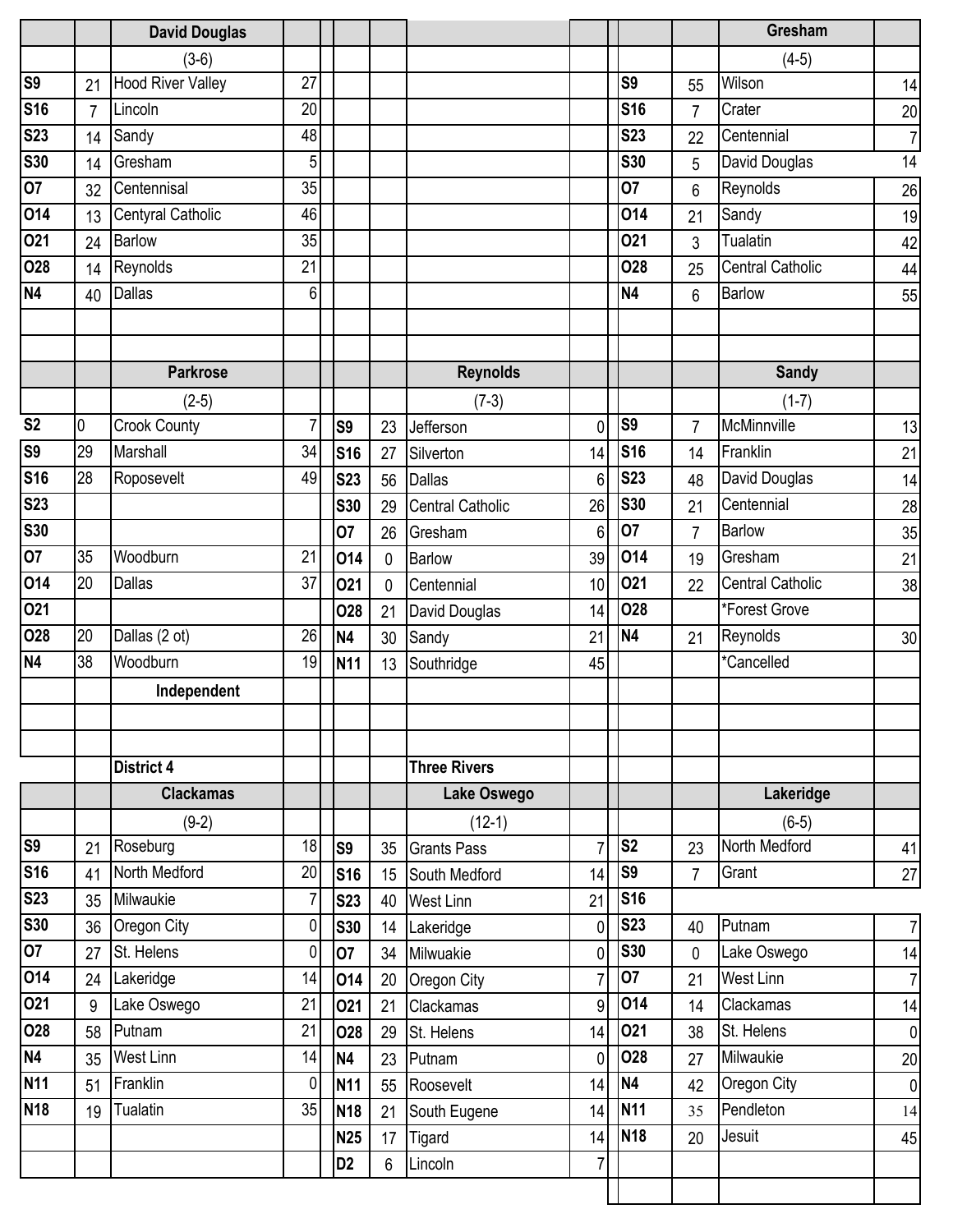|                |                | <b>David Douglas</b>     |                |                |             |                         |                |                 |                | Gresham                 |                |
|----------------|----------------|--------------------------|----------------|----------------|-------------|-------------------------|----------------|-----------------|----------------|-------------------------|----------------|
|                |                | $(3-6)$                  |                |                |             |                         |                |                 |                | $(4-5)$                 |                |
| S <sub>9</sub> | 21             | <b>Hood River Valley</b> | 27             |                |             |                         |                | S <sub>9</sub>  | 55             | Wilson                  | 14             |
| <b>S16</b>     | $\overline{7}$ | Lincoln                  | 20             |                |             |                         |                | <b>S16</b>      | 7              | Crater                  | 20             |
| <b>S23</b>     | 14             | Sandy                    | 48             |                |             |                         |                | <b>S23</b>      | 22             | Centennial              | $\overline{7}$ |
| <b>S30</b>     | 14             | Gresham                  | 5              |                |             |                         |                | <b>S30</b>      | 5              | David Douglas           | 14             |
| 07             | 32             | Centennisal              | 35             |                |             |                         |                | 07              | 6              | Reynolds                | 26             |
| 014            | 13             | Centyral Catholic        | 46             |                |             |                         |                | 014             | 21             | Sandy                   | 19             |
| <b>O21</b>     | 24             | <b>Barlow</b>            | 35             |                |             |                         |                | 021             | 3              | Tualatin                | 42             |
| 028            | 14             | Reynolds                 | 21             |                |             |                         |                | 028             | 25             | <b>Central Catholic</b> | 44             |
| <b>N4</b>      | 40             | <b>Dallas</b>            | 6              |                |             |                         |                | N <sub>4</sub>  | 6              | <b>Barlow</b>           | 55             |
|                |                |                          |                |                |             |                         |                |                 |                |                         |                |
|                |                |                          |                |                |             |                         |                |                 |                |                         |                |
|                |                | <b>Parkrose</b>          |                |                |             | <b>Reynolds</b>         |                |                 |                | <b>Sandy</b>            |                |
|                |                | $(2-5)$                  |                |                |             | $(7-3)$                 |                |                 |                | $(1-7)$                 |                |
| S <sub>2</sub> | $\overline{0}$ | <b>Crook County</b>      | $\overline{7}$ | S <sub>9</sub> | 23          | Jefferson               | $\mathbf 0$    | S <sub>9</sub>  | $\overline{7}$ | McMinnville             | 13             |
| S <sub>9</sub> | 29             | Marshall                 | 34             | <b>S16</b>     | 27          | Silverton               | 14             | <b>S16</b>      | 14             | Franklin                | 21             |
| <b>S16</b>     | 28             | Roposevelt               | 49             | <b>S23</b>     | 56          | <b>Dallas</b>           | 6              | <b>S23</b>      | 48             | David Douglas           | 14             |
| <b>S23</b>     |                |                          |                | <b>S30</b>     | 29          | <b>Central Catholic</b> | 26             | <b>S30</b>      | 21             | Centennial              | 28             |
| <b>S30</b>     |                |                          |                | 07             | 26          | Gresham                 | 6              | 07              | $\overline{7}$ | <b>Barlow</b>           | 35             |
| 07             | 35             | Woodburn                 | 21             | 014            | $\mathbf 0$ | <b>Barlow</b>           | 39             | 014             | 19             | Gresham                 | 21             |
| 014            | 20             | <b>Dallas</b>            | 37             | 021            | $\mathbf 0$ | Centennial              | 10             | 021             | 22             | <b>Central Catholic</b> | 38             |
| 021            |                |                          |                | <b>O28</b>     | 21          | David Douglas           | 14             | <b>O28</b>      |                | *Forest Grove           |                |
| 028            | 20             | Dallas (2 ot)            | 26             | <b>N4</b>      | 30          | Sandy                   | 21             | N <sub>4</sub>  | 21             | Reynolds                | 30             |
| <b>N4</b>      | 38             | Woodburn                 | 19             | <b>N11</b>     | 13          | Southridge              | 45             |                 |                | *Cancelled              |                |
|                |                | Independent              |                |                |             |                         |                |                 |                |                         |                |
|                |                |                          |                |                |             |                         |                |                 |                |                         |                |
|                |                |                          |                |                |             |                         |                |                 |                |                         |                |
|                |                | District 4               |                |                |             | <b>Three Rivers</b>     |                |                 |                |                         |                |
|                |                | <b>Clackamas</b>         |                |                |             | Lake Oswego             |                |                 |                | Lakeridge               |                |
|                |                | $(9-2)$                  |                |                |             | $(12-1)$                |                |                 |                | $(6-5)$                 |                |
| S <sub>9</sub> | 21             | Roseburg                 | 18             | S9             | 35          | <b>Grants Pass</b>      | $\overline{7}$ | S <sub>2</sub>  | 23             | North Medford           | 41             |
| <b>S16</b>     | 41             | North Medford            | 20             | <b>S16</b>     | 15          | South Medford           | 14             | S <sub>9</sub>  | $\overline{7}$ | Grant                   | 27             |
| <b>S23</b>     | 35             | Milwaukie                | $\overline{7}$ | <b>S23</b>     | 40          | <b>West Linn</b>        | 21             | <b>S16</b>      |                |                         |                |
| <b>S30</b>     | 36             | Oregon City              | 0              | <b>S30</b>     | 14          | Lakeridge               | $\overline{0}$ | <b>S23</b>      | 40             | Putnam                  | $\overline{7}$ |
| 07             | 27             | St. Helens               | 0              | 07             | 34          | Milwuakie               | $\mathbf 0$    | <b>S30</b>      | 0              | Lake Oswego             | 14             |
| 014            | 24             | Lakeridge                | 14             | 014            | 20          | Oregon City             | $\overline{7}$ | 07              | 21             | West Linn               | $\overline{7}$ |
| 021            | 9              | Lake Oswego              | 21             | 021            | 21          | Clackamas               | 9              | 014             | 14             | Clackamas               | 14             |
| <b>O28</b>     | 58             | Putnam                   | 21             | 028            | 29          | St. Helens              | 14             | 021             | 38             | St. Helens              | $\pmb{0}$      |
| <b>N4</b>      | 35             | <b>West Linn</b>         | 14             | <b>N4</b>      | 23          | Putnam                  | 0              | <b>O28</b>      | 27             | Milwaukie               | 20             |
| <b>N11</b>     | 51             | Franklin                 | $\pmb{0}$      | <b>N11</b>     | 55          | Roosevelt               | 14             | N <sub>4</sub>  | 42             | Oregon City             | $\mathbf 0$    |
| <b>N18</b>     | 19             | Tualatin                 | 35             | <b>N18</b>     | 21          | South Eugene            | 14             | N <sub>11</sub> | 35             | Pendleton               | 14             |
|                |                |                          |                | <b>N25</b>     | 17          | Tigard                  | 14             | <b>N18</b>      | 20             | Jesuit                  | 45             |
|                |                |                          |                | D <sub>2</sub> | 6           | Lincoln                 | $7\vert$       |                 |                |                         |                |
|                |                |                          |                |                |             |                         |                |                 |                |                         |                |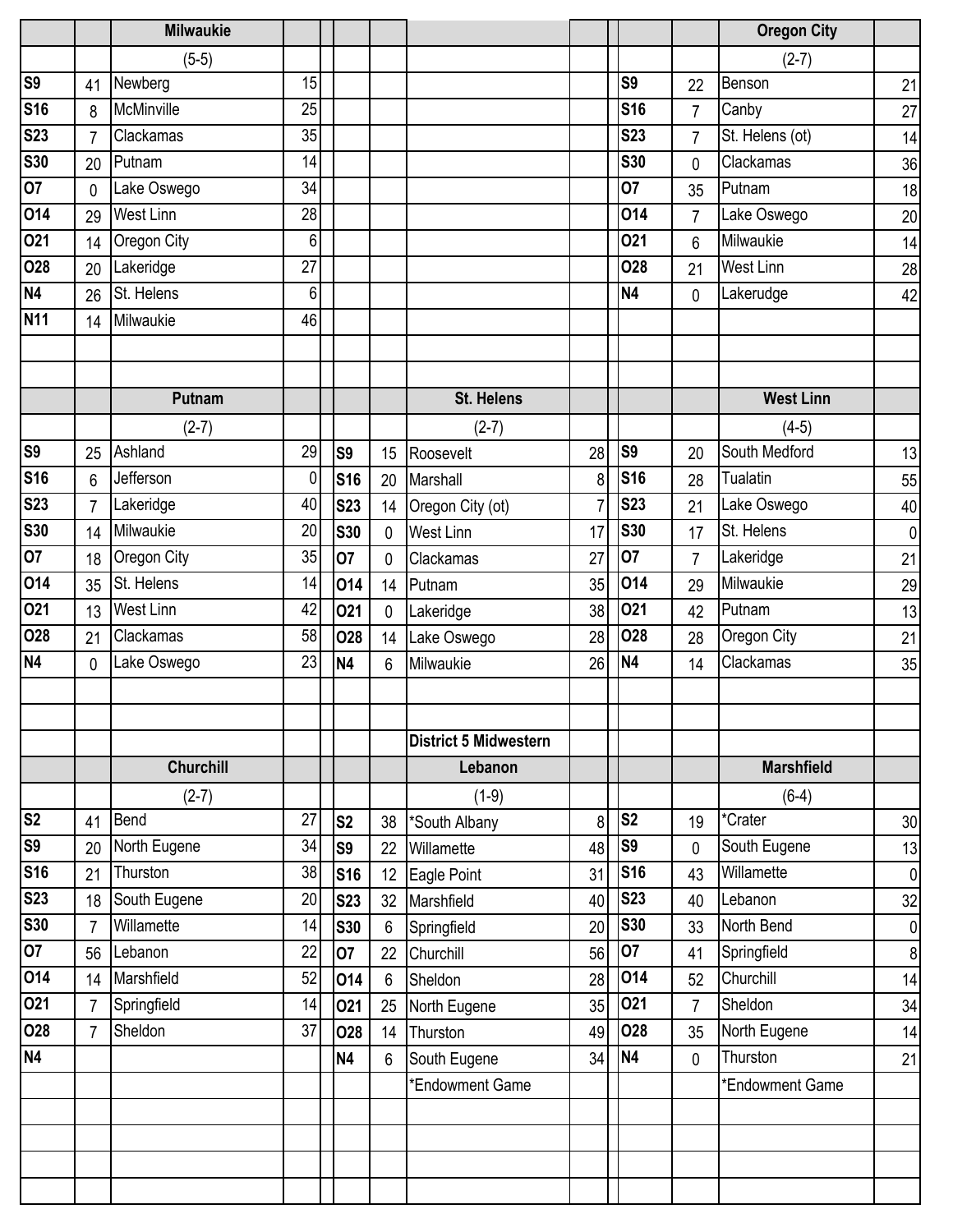|                        |                | <b>Milwaukie</b>          |          |                  |                |                              |                |                |                | <b>Oregon City</b>       |             |
|------------------------|----------------|---------------------------|----------|------------------|----------------|------------------------------|----------------|----------------|----------------|--------------------------|-------------|
|                        |                | $(5-5)$                   |          |                  |                |                              |                |                |                | $(2-7)$                  |             |
| S9                     | 41             | Newberg                   | 15       |                  |                |                              |                | S <sub>9</sub> | 22             | Benson                   | 21          |
| <b>S16</b>             | 8              | McMinville                | 25       |                  |                |                              |                | <b>S16</b>     | $\overline{7}$ | Canby                    | 27          |
| <b>S23</b>             | $\overline{7}$ | Clackamas                 | 35       |                  |                |                              |                | <b>S23</b>     | $\overline{7}$ | St. Helens (ot)          | 14          |
| <b>S30</b>             | 20             | Putnam                    | 14       |                  |                |                              |                | <b>S30</b>     | 0              | Clackamas                | 36          |
| 07                     | $\mathbf{0}$   | Lake Oswego               | 34       |                  |                |                              |                | 07             | 35             | Putnam                   | 18          |
| $\overline{014}$       | 29             | West Linn                 | 28       |                  |                |                              |                | 014            | $\overline{7}$ | Lake Oswego              | 20          |
| 021                    | 14             | Oregon City               | 6        |                  |                |                              |                | 021            | 6              | Milwaukie                | 14          |
| 028                    | 20             | Lakeridge                 | 27       |                  |                |                              |                | 028            | 21             | <b>West Linn</b>         | 28          |
| N4                     | 26             | St. Helens                | 6        |                  |                |                              |                | N <sub>4</sub> | 0              | Lakerudge                | 42          |
| <b>N11</b>             | 14             | Milwaukie                 | 46       |                  |                |                              |                |                |                |                          |             |
|                        |                |                           |          |                  |                |                              |                |                |                |                          |             |
|                        |                |                           |          |                  |                |                              |                |                |                |                          |             |
|                        |                | Putnam                    |          |                  |                | <b>St. Helens</b>            |                |                |                | <b>West Linn</b>         |             |
|                        |                | $(2-7)$                   |          |                  |                | $(2-7)$                      |                |                |                | $(4-5)$                  |             |
| S9                     | 25             | Ashland                   | 29       | S <sub>9</sub>   | 15             | Roosevelt                    | 28             | S <sub>9</sub> | 20             | South Medford            | 13          |
| <b>S16</b>             | 6              | Jefferson                 | 0        | <b>S16</b>       | 20             | Marshall                     | 8              | <b>S16</b>     | 28             | <b>Tualatin</b>          | 55          |
| <b>S23</b>             | $\overline{7}$ | Lakeridge                 | 40       | <b>S23</b>       | 14             | Oregon City (ot)             | $\overline{7}$ | <b>S23</b>     | 21             | Lake Oswego              | 40          |
| <b>S30</b>             | 14             | Milwaukie                 | 20       | <b>S30</b>       | $\mathbf 0$    | <b>West Linn</b>             | 17             | <b>S30</b>     | 17             | St. Helens               | $\mathbf 0$ |
| 07                     | 18             | Oregon City               | 35       | 07               | $\mathbf 0$    | Clackamas                    | 27             | 07             | $\overline{7}$ | Lakeridge                | 21          |
| 014                    | 35             | St. Helens                | 14       | 014              | 14             | Putnam                       | 35             | 014            | 29             | Milwaukie                | 29          |
| 021                    | 13             | <b>West Linn</b>          | 42       | 021              | $\mathbf{0}$   | Lakeridge                    | 38             | 021            | 42             | Putnam                   | 13          |
| 028                    | 21             | Clackamas                 | 58       | <b>O28</b>       | 14             | Lake Oswego                  | 28             | <b>O28</b>     | 28             | Oregon City              | 21          |
| <b>N4</b>              | $\mathbf{0}$   | Lake Oswego               | 23       | N <sub>4</sub>   | 6              | Milwaukie                    | 26             | N <sub>4</sub> | 14             | Clackamas                | 35          |
|                        |                |                           |          |                  |                |                              |                |                |                |                          |             |
|                        |                |                           |          |                  |                |                              |                |                |                |                          |             |
|                        |                |                           |          |                  |                | <b>District 5 Midwestern</b> |                |                |                |                          |             |
|                        |                | <b>Churchill</b>          |          |                  |                | Lebanon                      |                |                |                | <b>Marshfield</b>        |             |
|                        |                | $(2-7)$                   |          |                  |                | $(1-9)$                      |                |                |                | $(6-4)$                  |             |
| S <sub>2</sub>         | 41             | Bend                      | 27       | S <sub>2</sub>   | 38             | *South Albany                | 8              | S <sub>2</sub> | 19             | *Crater                  | 30          |
| S9                     | 20             | North Eugene              | 34       | S <sub>9</sub>   | 22             | Willamette                   | 48             | S <sub>9</sub> | 0              | South Eugene             | 13          |
| <b>S16</b>             | 21             | Thurston                  | 38       | <b>S16</b>       | 12             | Eagle Point                  | 31             | <b>S16</b>     | 43             | Willamette               | $\pmb{0}$   |
| <b>S23</b>             | 18             | South Eugene              | 20       | <b>S23</b>       | 32             | Marshfield                   | 40             | <b>S23</b>     | 40             | Lebanon                  | 32          |
| <b>S30</b>             | $\overline{7}$ | Willamette                | 14       | <b>S30</b>       | 6              | Springfield                  | 20             | <b>S30</b>     | 33             | North Bend               | $\mathbf 0$ |
| $\overline{07}$<br>014 | 56             | Lebanon                   | 22       | 07               | 22             | Churchill                    | 56             | 07<br>014      | 41             | Springfield<br>Churchill | 8           |
| 021                    | 14             | Marshfield<br>Springfield | 52<br>14 | 014              | $6\phantom{1}$ | Sheldon                      | 28             | 021            | 52             | Sheldon                  | 14          |
| 028                    | $\overline{7}$ | Sheldon                   | 37       | <b>O21</b>       | 25             | North Eugene                 | 35             | <b>O28</b>     | 7              | North Eugene             | 34          |
| <b>N4</b>              | $\overline{7}$ |                           |          | 028<br><b>N4</b> | 14             | Thurston                     | 49<br>34       | N <sub>4</sub> | 35             | Thurston                 | 14          |
|                        |                |                           |          |                  | 6              | South Eugene                 |                |                | 0              |                          | 21          |
|                        |                |                           |          |                  |                | *Endowment Game              |                |                |                | *Endowment Game          |             |
|                        |                |                           |          |                  |                |                              |                |                |                |                          |             |
|                        |                |                           |          |                  |                |                              |                |                |                |                          |             |
|                        |                |                           |          |                  |                |                              |                |                |                |                          |             |
|                        |                |                           |          |                  |                |                              |                |                |                |                          |             |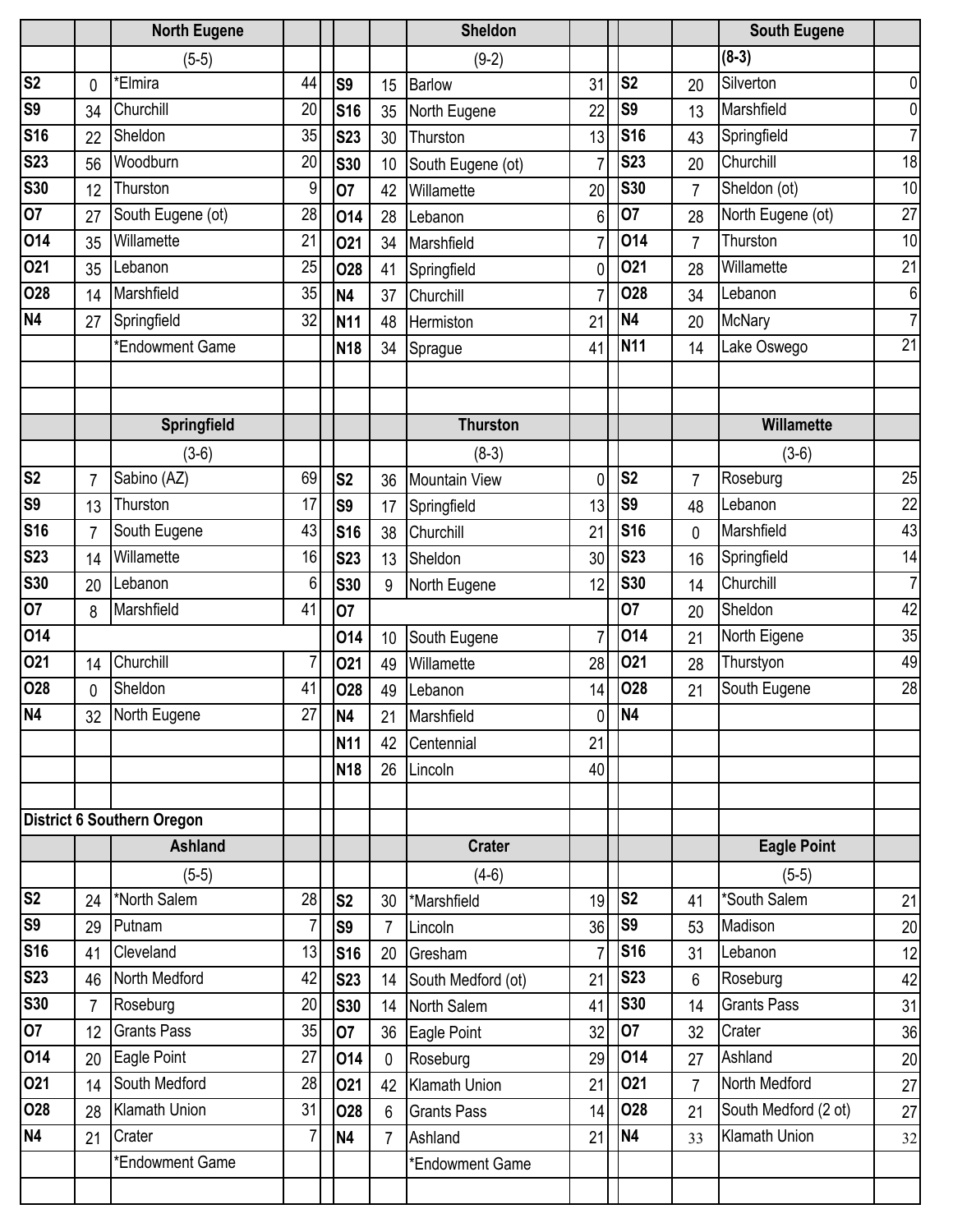|                |                | <b>North Eugene</b>               |                |                |                | <b>Sheldon</b>       |                |                |                | <b>South Eugene</b>  |                 |
|----------------|----------------|-----------------------------------|----------------|----------------|----------------|----------------------|----------------|----------------|----------------|----------------------|-----------------|
|                |                | $(5-5)$                           |                |                |                | $(9-2)$              |                |                |                | $(8-3)$              |                 |
| S <sub>2</sub> | 0              | *Elmira                           | 44             | S <sub>9</sub> | 15             | <b>Barlow</b>        | 31             | S <sub>2</sub> | 20             | Silverton            | $\mathbf{0}$    |
| <b>S9</b>      | 34             | Churchill                         | 20             | <b>S16</b>     | 35             | North Eugene         | 22             | S <sub>9</sub> | 13             | Marshfield           | $\mathbf 0$     |
| <b>S16</b>     | 22             | Sheldon                           | 35             | <b>S23</b>     | 30             | Thurston             | 13             | <b>S16</b>     | 43             | Springfield          | $\overline{7}$  |
| <b>S23</b>     | 56             | Woodburn                          | 20             | <b>S30</b>     | 10             | South Eugene (ot)    | 7              | <b>S23</b>     | 20             | Churchill            | 18              |
| <b>S30</b>     | 12             | Thurston                          | 9              | 07             | 42             | Willamette           | 20             | <b>S30</b>     | 7              | Sheldon (ot)         | 10              |
| 07             | 27             | South Eugene (ot)                 | 28             | 014            | 28             | Lebanon              | 6              | 07             | 28             | North Eugene (ot)    | 27              |
| 014            | 35             | Willamette                        | 21             | 021            | 34             | Marshfield           | $\overline{7}$ | 014            | $\overline{7}$ | Thurston             | 10              |
| 021            | 35             | Lebanon                           | 25             | 028            | 41             | Springfield          | 0              | 021            | 28             | Willamette           | 21              |
| 028            | 14             | Marshfield                        | 35             | <b>N4</b>      | 37             | Churchill            | 7              | 028            | 34             | Lebanon              | 6               |
| <b>N4</b>      | 27             | Springfield                       | 32             | <b>N11</b>     | 48             | Hermiston            | 21             | N <sub>4</sub> | 20             | <b>McNary</b>        | $\overline{7}$  |
|                |                | *Endowment Game                   |                | <b>N18</b>     | 34             | Sprague              | 41             | <b>N11</b>     | 14             | Lake Oswego          | $\overline{21}$ |
|                |                |                                   |                |                |                |                      |                |                |                |                      |                 |
|                |                | Springfield                       |                |                |                | <b>Thurston</b>      |                |                |                | Willamette           |                 |
|                |                | $(3-6)$                           |                |                |                | $(8-3)$              |                |                |                | $(3-6)$              |                 |
| S <sub>2</sub> | $\overline{7}$ | Sabino (AZ)                       | 69             | S <sub>2</sub> | 36             | <b>Mountain View</b> | 0              | S <sub>2</sub> | 7              | Roseburg             | 25              |
| S <sub>9</sub> | 13             | Thurston                          | 17             | S <sub>9</sub> | 17             | Springfield          | 13             | S <sub>9</sub> | 48             | Lebanon              | 22              |
| <b>S16</b>     | $\overline{7}$ | South Eugene                      | 43             | <b>S16</b>     | 38             | Churchill            | 21             | <b>S16</b>     | 0              | Marshfield           | 43              |
| <b>S23</b>     | 14             | Willamette                        | 16             | <b>S23</b>     | 13             | Sheldon              | 30             | <b>S23</b>     | 16             | Springfield          | 14              |
| <b>S30</b>     | 20             | Lebanon                           | 6              | <b>S30</b>     | 9              | North Eugene         | 12             | <b>S30</b>     | 14             | Churchill            | $\overline{7}$  |
| 07             | 8              | Marshfield                        | 41             | 07             |                |                      |                | 07             | 20             | Sheldon              | 42              |
| 014            |                |                                   |                | 014            | 10             | South Eugene         | 7              | 014            | 21             | North Eigene         | 35              |
| 021            | 14             | Churchill                         | 7              | 021            | 49             | Willamette           | 28             | 021            | 28             | Thurstyon            | 49              |
| 028            | 0              | Sheldon                           | 41             | <b>O28</b>     | 49             | Lebanon              | 14             | 028            | 21             | South Eugene         | 28              |
| <b>N4</b>      | 32             | North Eugene                      | 27             | N <sub>4</sub> | 21             | Marshfield           | 0              | N <sub>4</sub> |                |                      |                 |
|                |                |                                   |                | <b>N11</b>     | 42             | Centennial           | 21             |                |                |                      |                 |
|                |                |                                   |                | <b>N18</b>     |                | 26 Lincoln           | 40             |                |                |                      |                 |
|                |                |                                   |                |                |                |                      |                |                |                |                      |                 |
|                |                | <b>District 6 Southern Oregon</b> |                |                |                |                      |                |                |                |                      |                 |
|                |                | <b>Ashland</b>                    |                |                |                | <b>Crater</b>        |                |                |                | <b>Eagle Point</b>   |                 |
|                |                | $(5-5)$                           |                |                |                | $(4-6)$              |                |                |                | $(5-5)$              |                 |
| S <sub>2</sub> | 24             | *North Salem                      | 28             | S <sub>2</sub> | 30             | *Marshfield          | 19             | S <sub>2</sub> | 41             | *South Salem         | 21              |
| <b>S9</b>      | 29             | Putnam                            | 7              | S <sub>9</sub> | $\overline{7}$ | Lincoln              | 36             | S <sub>9</sub> | 53             | Madison              | 20              |
| <b>S16</b>     | 41             | Cleveland                         | 13             | <b>S16</b>     | 20             | Gresham              | $\overline{7}$ | <b>S16</b>     | 31             | Lebanon              | 12              |
| <b>S23</b>     | 46             | North Medford                     | 42             | <b>S23</b>     | 14             | South Medford (ot)   | 21             | <b>S23</b>     | 6              | Roseburg             | 42              |
| <b>S30</b>     | $\overline{7}$ | Roseburg                          | 20             | <b>S30</b>     | 14             | North Salem          | 41             | <b>S30</b>     | 14             | <b>Grants Pass</b>   | 31              |
| 07             | 12             | <b>Grants Pass</b>                | 35             | 07             | 36             | Eagle Point          | 32             | 07             | 32             | Crater               | 36              |
| 014            | 20             | Eagle Point                       | 27             | 014            | $\mathbf{0}$   | Roseburg             | 29             | 014            | 27             | Ashland              | 20              |
| 021            | 14             | South Medford                     | 28             | 021            | 42             | Klamath Union        | 21             | 021            | 7              | North Medford        | 27              |
| <b>O28</b>     | 28             | <b>Klamath Union</b>              | 31             | 028            | 6              | <b>Grants Pass</b>   | 14             | 028            | 21             | South Medford (2 ot) | 27              |
| <b>N4</b>      | 21             | Crater                            | $\overline{7}$ | <b>N4</b>      | $\overline{7}$ | Ashland              | 21             | N <sub>4</sub> | 33             | <b>Klamath Union</b> | 32              |
|                |                | *Endowment Game                   |                |                |                | *Endowment Game      |                |                |                |                      |                 |
|                |                |                                   |                |                |                |                      |                |                |                |                      |                 |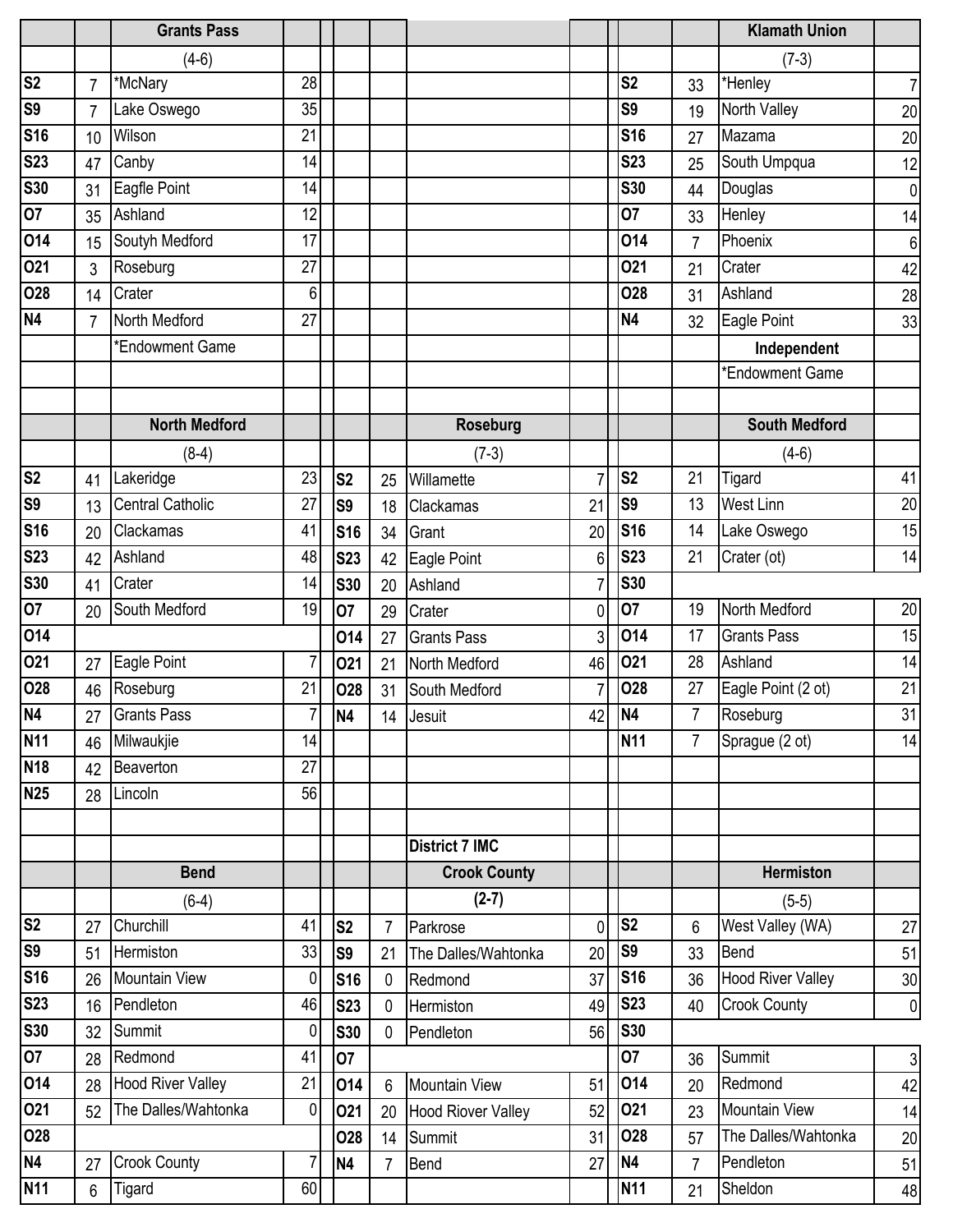|                         |                | <b>Grants Pass</b>       |                |                |                 |                           |                |                |                | <b>Klamath Union</b>     |                 |
|-------------------------|----------------|--------------------------|----------------|----------------|-----------------|---------------------------|----------------|----------------|----------------|--------------------------|-----------------|
|                         |                | $(4-6)$                  |                |                |                 |                           |                |                |                | $(7-3)$                  |                 |
| $\overline{\text{S2}}$  | $\overline{7}$ | *McNary                  | 28             |                |                 |                           |                | S <sub>2</sub> | 33             | *Henley                  | $\overline{7}$  |
| <b>S9</b>               | $\overline{7}$ | Lake Oswego              | 35             |                |                 |                           |                | S <sub>9</sub> | 19             | North Valley             | 20              |
| <b>S16</b>              | 10             | Wilson                   | 21             |                |                 |                           |                | <b>S16</b>     | 27             | Mazama                   | 20              |
| <b>S23</b>              | 47             | Canby                    | 14             |                |                 |                           |                | <b>S23</b>     | 25             | South Umpqua             | 12              |
| <b>S30</b>              | 31             | Eagfle Point             | 14             |                |                 |                           |                | <b>S30</b>     | 44             | Douglas                  | $\mathbf 0$     |
| 07                      | 35             | Ashland                  | 12             |                |                 |                           |                | 07             | 33             | Henley                   | 14              |
| 014                     | 15             | Soutyh Medford           | 17             |                |                 |                           |                | 014            | $\overline{7}$ | Phoenix                  | $6\phantom{.}6$ |
| 021                     | 3              | Roseburg                 | 27             |                |                 |                           |                | 021            | 21             | Crater                   | 42              |
| 028                     | 14             | Crater                   | 6              |                |                 |                           |                | 028            | 31             | Ashland                  | 28              |
| N4                      | $\overline{7}$ | North Medford            | 27             |                |                 |                           |                | N <sub>4</sub> | 32             | Eagle Point              | 33              |
|                         |                | *Endowment Game          |                |                |                 |                           |                |                |                | Independent              |                 |
|                         |                |                          |                |                |                 |                           |                |                |                | *Endowment Game          |                 |
|                         |                |                          |                |                |                 |                           |                |                |                |                          |                 |
|                         |                | <b>North Medford</b>     |                |                |                 | <b>Roseburg</b>           |                |                |                | <b>South Medford</b>     |                 |
|                         |                | $(8-4)$                  |                |                |                 | $(7-3)$                   |                |                |                | $(4-6)$                  |                 |
| $\overline{\text{S2}}$  | 41             | Lakeridge                | 23             | S <sub>2</sub> | 25              | Willamette                | $\overline{7}$ | S <sub>2</sub> | 21             | Tigard                   | 41              |
| <b>S9</b>               | 13             | <b>Central Catholic</b>  | 27             | S <sub>9</sub> | 18              | Clackamas                 | 21             | S <sub>9</sub> | 13             | <b>West Linn</b>         | 20              |
| <b>S16</b>              | 20             | Clackamas                | 41             | <b>S16</b>     | 34              | Grant                     | 20             | <b>S16</b>     | 14             | Lake Oswego              | 15              |
| $\overline{\text{S2}}3$ | 42             | Ashland                  | 48             | <b>S23</b>     | 42              | Eagle Point               | 6              | <b>S23</b>     | 21             | Crater (ot)              | 14              |
| <b>S30</b>              | 41             | Crater                   | 14             | <b>S30</b>     | 20              | Ashland                   | $\overline{7}$ | <b>S30</b>     |                |                          |                 |
| 07                      | 20             | South Medford            | 19             | 07             | 29              | Crater                    | 0              | 07             | 19             | North Medford            | 20              |
| 014                     |                |                          |                | 014            | 27              | <b>Grants Pass</b>        | 3              | 014            | 17             | <b>Grants Pass</b>       | 15              |
| 021                     | 27             | Eagle Point              | $\overline{7}$ | 021            | 21              | North Medford             | 46             | 021            | 28             | Ashland                  | 14              |
| 028                     | 46             | Roseburg                 | 21             | <b>O28</b>     | 31              | South Medford             | $\overline{7}$ | <b>O28</b>     | 27             | Eagle Point (2 ot)       | 21              |
| N4                      |                | 27 Grants Pass           | 7              | <b>N4</b>      | 14              | Jesuit                    | 42             | N <sub>4</sub> | 7              | Roseburg                 | 31              |
| <b>N11</b>              | 46             | Milwaukjie               | 14             |                |                 |                           |                | <b>N11</b>     | $\overline{7}$ | Sprague (2 ot)           | 14              |
| <b>N18</b>              | 42             | Beaverton                | 27             |                |                 |                           |                |                |                |                          |                 |
| <b>N25</b>              | 28             | Lincoln                  | 56             |                |                 |                           |                |                |                |                          |                 |
|                         |                |                          |                |                |                 |                           |                |                |                |                          |                 |
|                         |                |                          |                |                |                 | <b>District 7 IMC</b>     |                |                |                |                          |                 |
|                         |                | <b>Bend</b>              |                |                |                 | <b>Crook County</b>       |                |                |                | <b>Hermiston</b>         |                 |
|                         |                | $(6-4)$                  |                |                |                 | $(2-7)$                   |                |                |                | $(5-5)$                  |                 |
| $\overline{\text{S2}}$  | 27             | Churchill                | 41             | S <sub>2</sub> | $\overline{7}$  | Parkrose                  | 0              | S <sub>2</sub> | 6              | West Valley (WA)         | 27              |
| <b>S9</b>               | 51             | Hermiston                | 33             | S9             | 21              | The Dalles/Wahtonka       | 20             | S <sub>9</sub> | 33             | Bend                     | 51              |
| <b>S16</b>              | 26             | <b>Mountain View</b>     | 0              | <b>S16</b>     | $\mathbf 0$     | Redmond                   | 37             | <b>S16</b>     | 36             | <b>Hood River Valley</b> | 30              |
| <b>S23</b>              | 16             | Pendleton                | 46             | <b>S23</b>     | $\mathbf{0}$    | Hermiston                 | 49             | <b>S23</b>     | 40             | <b>Crook County</b>      | $\mathbf 0$     |
| <b>S30</b>              | 32             | Summit                   | 0              | <b>S30</b>     | $\mathbf{0}$    | Pendleton                 | 56             | <b>S30</b>     |                |                          |                 |
| $\overline{07}$         | 28             | Redmond                  | 41             | 07             |                 |                           |                | 07             | 36             | Summit                   | $\sqrt{3}$      |
| 014                     | 28             | <b>Hood River Valley</b> | 21             | 014            | $6\phantom{1}6$ | <b>Mountain View</b>      | 51             | 014            | 20             | Redmond                  | 42              |
| 021                     | 52             | The Dalles/Wahtonka      | $\mathbf 0$    | 021            | 20              | <b>Hood Riover Valley</b> | 52             | 021            | 23             | <b>Mountain View</b>     | 14              |
| 028                     |                |                          |                | <b>O28</b>     | 14              | Summit                    | 31             | 028            | 57             | The Dalles/Wahtonka      | 20              |
| N4                      | 27             | <b>Crook County</b>      |                | <b>N4</b>      | 7               | Bend                      | 27             | <b>N4</b>      | 7              | Pendleton                | 51              |
| <b>N11</b>              | 6              | Tigard                   | 60             |                |                 |                           |                | <b>N11</b>     | 21             | Sheldon                  | 48              |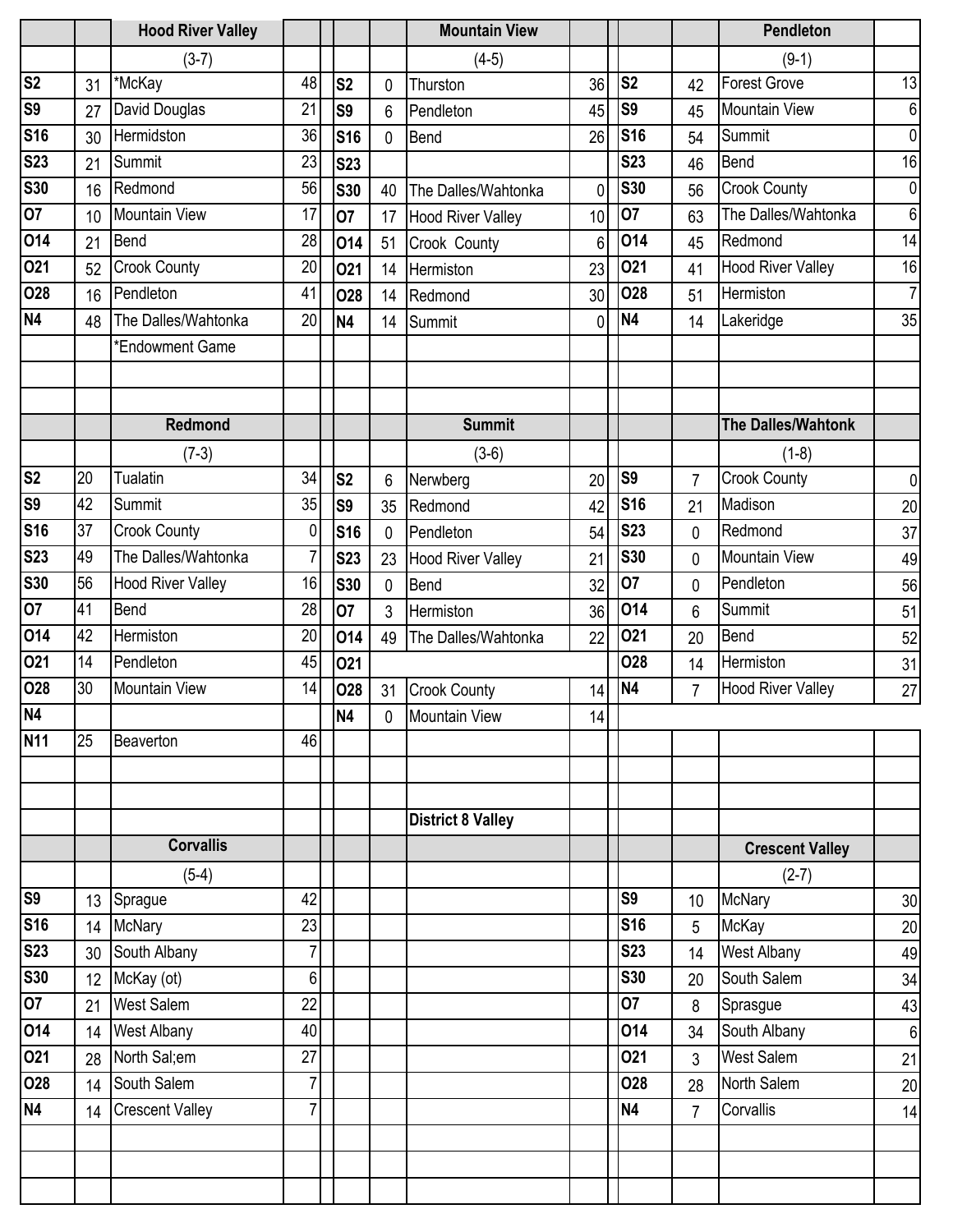|                        |                 | <b>Hood River Valley</b> |                |                |              | <b>Mountain View</b>     |                 |                |                | Pendleton                 |                 |
|------------------------|-----------------|--------------------------|----------------|----------------|--------------|--------------------------|-----------------|----------------|----------------|---------------------------|-----------------|
|                        |                 | $(3-7)$                  |                |                |              | $(4-5)$                  |                 |                |                | $(9-1)$                   |                 |
| $\overline{\text{S2}}$ | 31              | *McKay                   | 48             | S <sub>2</sub> | $\mathbf 0$  | Thurston                 | 36              | S <sub>2</sub> | 42             | <b>Forest Grove</b>       | 13              |
| S <sub>9</sub>         | 27              | David Douglas            | 21             | S <sub>9</sub> | 6            | Pendleton                | 45              | <b>S9</b>      | 45             | <b>Mountain View</b>      | $\,6$           |
| <b>S16</b>             | 30              | Hermidston               | 36             | <b>S16</b>     | $\mathbf{0}$ | Bend                     | 26              | <b>S16</b>     | 54             | Summit                    | $\mathbf 0$     |
| <b>S23</b>             | 21              | Summit                   | 23             | <b>S23</b>     |              |                          |                 | <b>S23</b>     | 46             | Bend                      | 16              |
| <b>S30</b>             | 16              | Redmond                  | 56             | <b>S30</b>     | 40           | The Dalles/Wahtonka      | $\mathbf{0}$    | <b>S30</b>     | 56             | <b>Crook County</b>       | $\mathbf 0$     |
| 07                     | 10              | <b>Mountain View</b>     | 17             | 07             | 17           | <b>Hood River Valley</b> | 10              | <b>O7</b>      | 63             | The Dalles/Wahtonka       | $6\phantom{1}$  |
| 014                    | 21              | Bend                     | 28             | 014            | 51           | Crook County             | 6               | 014            | 45             | Redmond                   | 14              |
| 021                    | 52              | <b>Crook County</b>      | 20             | 021            | 14           | Hermiston                | 23              | 021            | 41             | <b>Hood River Valley</b>  | 16              |
| <b>O28</b>             | 16              | Pendleton                | 41             | <b>O28</b>     | 14           | Redmond                  | 30 <sup>°</sup> | 028            | 51             | Hermiston                 | $\overline{7}$  |
| <b>N4</b>              | 48              | The Dalles/Wahtonka      | 20             | <b>N4</b>      | 14           | Summit                   | $\mathbf{0}$    | N <sub>4</sub> | 14             | Lakeridge                 | 35              |
|                        |                 | *Endowment Game          |                |                |              |                          |                 |                |                |                           |                 |
|                        |                 | <b>Redmond</b>           |                |                |              | <b>Summit</b>            |                 |                |                | <b>The Dalles/Wahtonk</b> |                 |
|                        |                 | $(7-3)$                  |                |                |              | $(3-6)$                  |                 |                |                | $(1-8)$                   |                 |
| S <sub>2</sub>         | 20              | <b>Tualatin</b>          | 34             | S <sub>2</sub> | 6            | Nerwberg                 | 20              | <b>S9</b>      | $\overline{7}$ | <b>Crook County</b>       | 0               |
| S <sub>9</sub>         | 42              | Summit                   | 35             | S <sub>9</sub> | 35           | Redmond                  | 42              | <b>S16</b>     | 21             | Madison                   | 20              |
| <b>S16</b>             | 37              | <b>Crook County</b>      | 0              | <b>S16</b>     | $\mathbf 0$  | Pendleton                | 54              | <b>S23</b>     | 0              | Redmond                   | 37              |
| <b>S23</b>             | 49              | The Dalles/Wahtonka      | $\overline{7}$ | <b>S23</b>     | 23           | <b>Hood River Valley</b> | 21              | <b>S30</b>     | 0              | <b>Mountain View</b>      | 49              |
| <b>S30</b>             | 56              | <b>Hood River Valley</b> | 16             | <b>S30</b>     | $\mathbf 0$  | Bend                     | 32              | 07             | 0              | Pendleton                 | 56              |
| 07                     | 41              | <b>Bend</b>              | 28             | 07             | 3            | Hermiston                | 36              | 014            | 6              | Summit                    | 51              |
| 014                    | 42              | Hermiston                | 20             | 014            | 49           | The Dalles/Wahtonka      | 22              | 021            | 20             | Bend                      | 52              |
| 021                    | 14              | Pendleton                | 45             | 021            |              |                          |                 | 028            | 14             | Hermiston                 | 31              |
| 028                    | 30              | <b>Mountain View</b>     | 14             | <b>O28</b>     | 31           | <b>Crook County</b>      | 14              | N <sub>4</sub> | $\overline{7}$ | <b>Hood River Valley</b>  | 27              |
| $\overline{N4}$        |                 |                          |                | <b>N4</b>      | $\mathbf 0$  | <b>Mountain View</b>     | 14              |                |                |                           |                 |
| <b>N11</b>             | 25              | Beaverton                | 46             |                |              |                          |                 |                |                |                           |                 |
|                        |                 |                          |                |                |              |                          |                 |                |                |                           |                 |
|                        |                 |                          |                |                |              |                          |                 |                |                |                           |                 |
|                        |                 |                          |                |                |              | <b>District 8 Valley</b> |                 |                |                |                           |                 |
|                        |                 | <b>Corvallis</b>         |                |                |              |                          |                 |                |                | <b>Crescent Valley</b>    |                 |
|                        |                 | $(5-4)$                  |                |                |              |                          |                 |                |                | $(2-7)$                   |                 |
| <b>S9</b>              | 13              | Sprague                  | 42             |                |              |                          |                 | S <sub>9</sub> | 10             | <b>McNary</b>             | 30              |
| <b>S16</b>             | 14              | <b>McNary</b>            | 23             |                |              |                          |                 | <b>S16</b>     | 5              | McKay                     | 20              |
| <b>S23</b>             | 30              | South Albany             | $\overline{7}$ |                |              |                          |                 | <b>S23</b>     | 14             | <b>West Albany</b>        | 49              |
| <b>S30</b>             | 12 <sup>°</sup> | McKay (ot)               | 6              |                |              |                          |                 | <b>S30</b>     | 20             | South Salem               | 34              |
| 07                     | 21              | West Salem               | 22             |                |              |                          |                 | 07             | 8              | Sprasgue                  | 43              |
| 014                    | 14              | <b>West Albany</b>       | 40             |                |              |                          |                 | 014            | 34             | South Albany              | $6\phantom{1}6$ |
| 021                    | 28              | North Sal;em             | 27             |                |              |                          |                 | 021            | 3              | West Salem                | 21              |
| 028                    | 14              | South Salem              | $\overline{7}$ |                |              |                          |                 | 028            | 28             | North Salem               | 20              |
| N4                     | 14              | <b>Crescent Valley</b>   | $\overline{7}$ |                |              |                          |                 | N <sub>4</sub> | $\overline{7}$ | Corvallis                 | 14              |
|                        |                 |                          |                |                |              |                          |                 |                |                |                           |                 |
|                        |                 |                          |                |                |              |                          |                 |                |                |                           |                 |
|                        |                 |                          |                |                |              |                          |                 |                |                |                           |                 |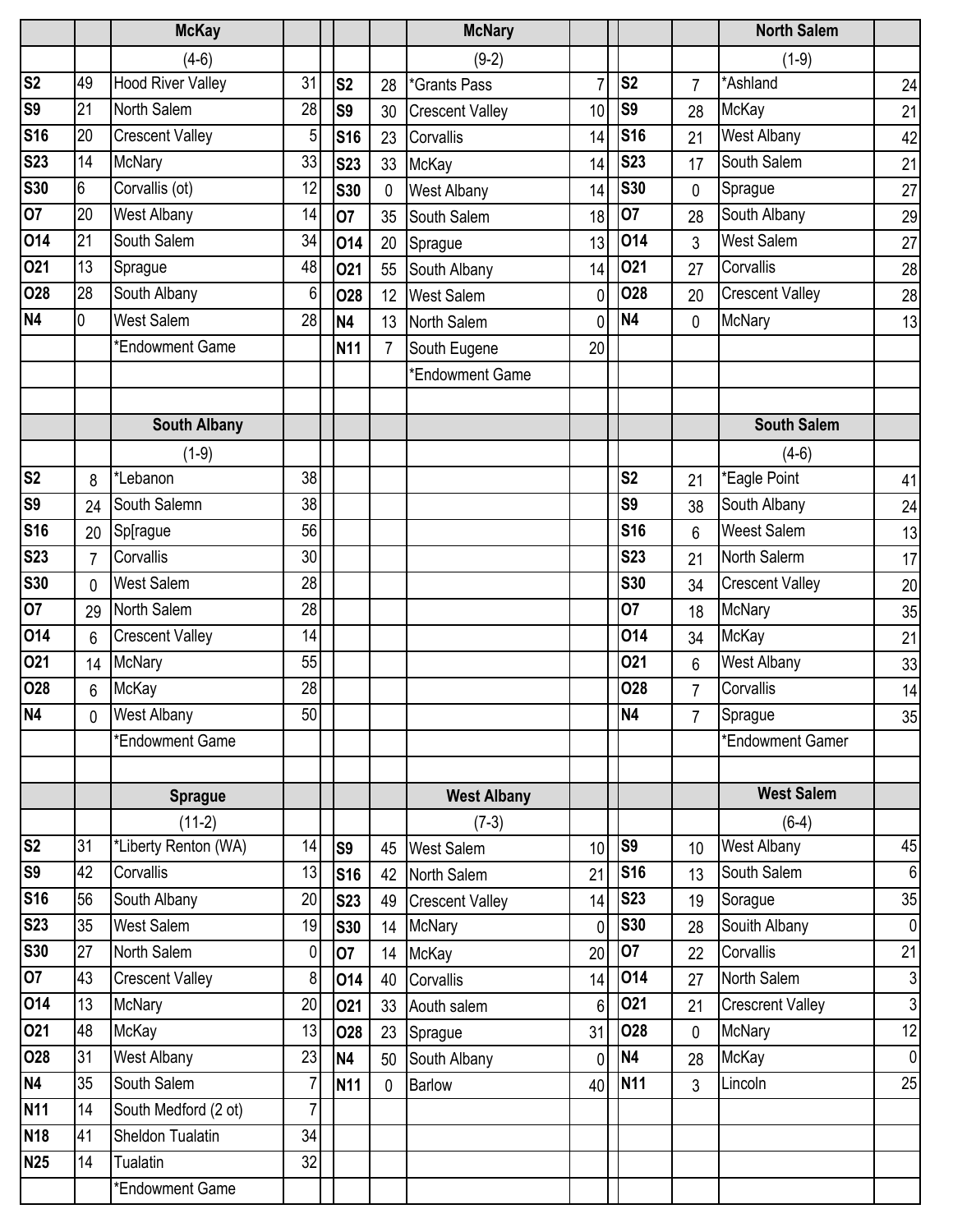|                          |                | <b>McKay</b>                      |                |                          |                | <b>McNary</b>                       |                 |                |                 | <b>North Salem</b>                |                 |
|--------------------------|----------------|-----------------------------------|----------------|--------------------------|----------------|-------------------------------------|-----------------|----------------|-----------------|-----------------------------------|-----------------|
|                          |                | $(4-6)$                           |                |                          |                | $(9-2)$                             |                 |                |                 | $(1-9)$                           |                 |
| $\overline{\text{S2}}$   | 49             | <b>Hood River Valley</b>          | 31             | S <sub>2</sub>           | 28             | *Grants Pass                        | $\overline{7}$  | S <sub>2</sub> | $\overline{7}$  | *Ashland                          | 24              |
| S9                       | 21             | North Salem                       | 28             | S <sub>9</sub>           | 30             | <b>Crescent Valley</b>              | 10              | S <sub>9</sub> | 28              | McKay                             | 21              |
| <b>S16</b>               | 20             | <b>Crescent Valley</b>            | 5              | <b>S16</b>               | 23             | Corvallis                           | 14              | <b>S16</b>     | 21              | West Albany                       | 42              |
| <b>S23</b>               | 14             | <b>McNary</b>                     | 33             | <b>S23</b>               | 33             | McKay                               | 14              | <b>S23</b>     | 17              | South Salem                       | 21              |
| S30                      | 6              | Corvallis (ot)                    | 12             | <b>S30</b>               | 0              | <b>West Albany</b>                  | 14              | <b>S30</b>     | 0               | Sprague                           | 27              |
| $\overline{07}$          | 20             | <b>West Albany</b>                | 14             | 07                       | 35             | South Salem                         | 18              | 07             | 28              | South Albany                      | 29              |
| 014                      | 21             | South Salem                       | 34             | 014                      | 20             | Sprague                             | 13              | 014            | 3               | <b>West Salem</b>                 | 27              |
| 021                      | 13             | Sprague                           | 48             | 021                      | 55             | South Albany                        | 14              | 021            | 27              | Corvallis                         | 28              |
| 028                      | 28             | South Albany                      | 6              | 028                      | 12             | <b>West Salem</b>                   | 0               | O28            | 20              | <b>Crescent Valley</b>            | 28              |
| N4                       | 0              | <b>West Salem</b>                 | 28             | <b>N4</b>                | 13             | North Salem                         | 0               | N <sub>4</sub> | 0               | <b>McNary</b>                     | 13              |
|                          |                | *Endowment Game                   |                | <b>N11</b>               | $\overline{7}$ | South Eugene                        | 20              |                |                 |                                   |                 |
|                          |                |                                   |                |                          |                | *Endowment Game                     |                 |                |                 |                                   |                 |
|                          |                |                                   |                |                          |                |                                     |                 |                |                 |                                   |                 |
|                          |                | <b>South Albany</b>               |                |                          |                |                                     |                 |                |                 | <b>South Salem</b>                |                 |
|                          |                | $(1-9)$                           |                |                          |                |                                     |                 |                |                 | $(4-6)$                           |                 |
| S <sub>2</sub>           | 8              | *Lebanon                          | 38             |                          |                |                                     |                 | S <sub>2</sub> | 21              | *Eagle Point                      | 41              |
| $\overline{\mathbf{S9}}$ | 24             | South Salemn                      | 38             |                          |                |                                     |                 | S <sub>9</sub> | 38              | South Albany                      | 24              |
| <b>S16</b>               | 20             | Sp[rague                          | 56             |                          |                |                                     |                 | <b>S16</b>     | 6               | <b>Weest Salem</b>                | 13              |
| <b>S23</b>               | $\overline{7}$ | Corvallis                         | 30             |                          |                |                                     |                 | <b>S23</b>     | 21              | North Salerm                      | 17              |
| S30                      | 0              | <b>West Salem</b>                 | 28             |                          |                |                                     |                 | <b>S30</b>     | 34              | <b>Crescent Valley</b>            | 20              |
| 07                       | 29             | North Salem                       | 28             |                          |                |                                     |                 | 07             | 18              | <b>McNary</b>                     | 35              |
| 014                      | 6              | <b>Crescent Valley</b>            | 14             |                          |                |                                     |                 | 014            | 34              | McKay                             | 21              |
| 021                      | 14             | <b>McNary</b>                     | 55             |                          |                |                                     |                 | 021            | 6               | <b>West Albany</b>                | 33              |
| 028                      | 6              | McKay                             | 28             |                          |                |                                     |                 | 028            | $\overline{7}$  | Corvallis                         | 14              |
| N4                       | 0              | <b>West Albany</b>                | 50             |                          |                |                                     |                 | N <sub>4</sub> | 7               | Sprague                           | 35              |
|                          |                | *Endowment Game                   |                |                          |                |                                     |                 |                |                 | *Endowment Gamer                  |                 |
|                          |                |                                   |                |                          |                |                                     |                 |                |                 |                                   |                 |
|                          |                | <b>Sprague</b>                    |                |                          |                | <b>West Albany</b>                  |                 |                |                 | <b>West Salem</b>                 |                 |
| S <sub>2</sub>           | 31             | $(11-2)$                          | 14             |                          |                | $(7-3)$                             |                 | S9             |                 | $(6-4)$                           | 45              |
| S9                       | 42             | *Liberty Renton (WA)<br>Corvallis | 13             | S9                       |                | 45 West Salem                       | 10 <sup>1</sup> | <b>S16</b>     | 10 <sup>°</sup> | <b>West Albany</b><br>South Salem | $6\phantom{1}6$ |
| <b>S16</b>               | 56             | South Albany                      | 20             | <b>S16</b>               | 42             | North Salem                         | 21              | <b>S23</b>     | 13              | Sorague                           | 35              |
| <b>S23</b>               | 35             | <b>West Salem</b>                 | 19             | <b>S23</b><br><b>S30</b> | 14             | 49 Crescent Valley<br><b>McNary</b> | 14<br> 0        | <b>S30</b>     | 19<br>28        | Souith Albany                     | $\mathbf 0$     |
| <b>S30</b>               | 27             | North Salem                       | 0              | 07                       | 14             | McKay                               | 20 <sub>l</sub> | 07             | 22              | Corvallis                         | 21              |
| 07                       | 43             | <b>Crescent Valley</b>            | 8              | 014                      | 40             | Corvallis                           | 14              | 014            | 27              | North Salem                       | $\overline{3}$  |
| 014                      | 13             | <b>McNary</b>                     | 20             | 021                      | 33             | Aouth salem                         | 6 <sup>1</sup>  | 021            | 21              | <b>Crescrent Valley</b>           | $\overline{3}$  |
| 021                      | 48             | McKay                             | 13             | 028                      | 23             | Sprague                             | 31              | 028            | 0               | <b>McNary</b>                     | 12              |
| <b>O28</b>               | 31             | <b>West Albany</b>                | 23             | <b>N4</b>                | 50             | South Albany                        | $\overline{0}$  | <b>N4</b>      | 28              | <b>McKay</b>                      | $\mathbf 0$     |
| <b>N4</b>                | 35             | South Salem                       | $\overline{7}$ | <b>N11</b>               | 0              | <b>Barlow</b>                       | 40 <sup>1</sup> | <b>N11</b>     | 3               | Lincoln                           | 25              |
| <b>N11</b>               | 14             | South Medford (2 ot)              | 7 <sup>1</sup> |                          |                |                                     |                 |                |                 |                                   |                 |
| <b>N18</b>               | 41             | Sheldon Tualatin                  | 34             |                          |                |                                     |                 |                |                 |                                   |                 |
| <b>N25</b>               | 14             | <b>Tualatin</b>                   | 32             |                          |                |                                     |                 |                |                 |                                   |                 |
|                          |                | *Endowment Game                   |                |                          |                |                                     |                 |                |                 |                                   |                 |
|                          |                |                                   |                |                          |                |                                     |                 |                |                 |                                   |                 |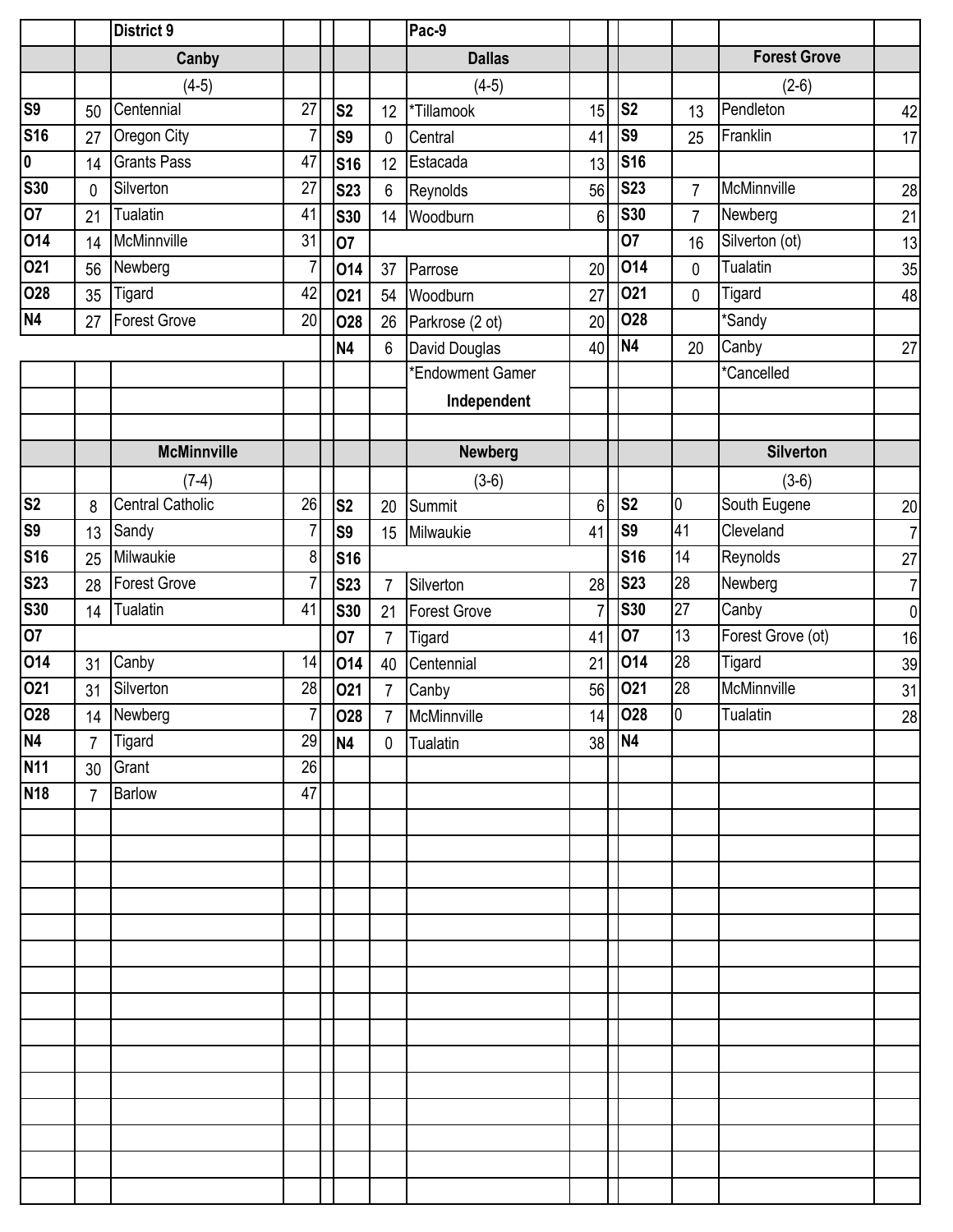|                           |                 | <b>District 9</b>       |                |                |                 | Pac-9               |                |                |                |                     |                |
|---------------------------|-----------------|-------------------------|----------------|----------------|-----------------|---------------------|----------------|----------------|----------------|---------------------|----------------|
|                           |                 | Canby                   |                |                |                 | <b>Dallas</b>       |                |                |                | <b>Forest Grove</b> |                |
|                           |                 | $(4-5)$                 |                |                |                 | $(4-5)$             |                |                |                | $(2-6)$             |                |
| <b>S9</b>                 | 50              | Centennial              | 27             | S <sub>2</sub> | 12              | *Tillamook          | 15             | S <sub>2</sub> | 13             | Pendleton           | 42             |
| <b>S16</b>                | 27              | Oregon City             | $\overline{7}$ | S <sub>9</sub> | $\mathbf 0$     | Central             | 41             | S <sub>9</sub> | 25             | Franklin            | 17             |
| $\overline{\mathbf{0}}$   | 14              | <b>Grants Pass</b>      | 47             | <b>S16</b>     | 12              | Estacada            | 13             | <b>S16</b>     |                |                     |                |
| <b>S30</b>                | $\mathbf 0$     | Silverton               | 27             | <b>S23</b>     | $6\phantom{1}6$ | Reynolds            | 56             | <b>S23</b>     | 7              | McMinnville         | 28             |
| 07                        | 21              | Tualatin                | 41             | <b>S30</b>     | 14              | Woodburn            | 6              | <b>S30</b>     | $\overline{7}$ | Newberg             | 21             |
| 014                       | 14              | McMinnville             | 31             | 07             |                 |                     |                | 07             | 16             | Silverton (ot)      | 13             |
| 021                       | 56              | Newberg                 | $\overline{7}$ | 014            | 37              | Parrose             | 20             | 014            | 0              | Tualatin            | 35             |
| 028                       | 35              | <b>Tigard</b>           | 42             | 021            | 54              | Woodburn            | 27             | O21            | 0              | Tigard              | 48             |
| N4                        | 27              | <b>Forest Grove</b>     | 20             | <b>O28</b>     | 26              | Parkrose (2 ot)     | 20             | 028            |                | *Sandy              |                |
|                           |                 |                         |                | <b>N4</b>      | $6\phantom{1}$  | David Douglas       | 40             | N <sub>4</sub> | 20             | Canby               | 27             |
|                           |                 |                         |                |                |                 | *Endowment Gamer    |                |                |                | *Cancelled          |                |
|                           |                 |                         |                |                |                 | Independent         |                |                |                |                     |                |
|                           |                 |                         |                |                |                 |                     |                |                |                |                     |                |
|                           |                 | <b>McMinnville</b>      |                |                |                 | <b>Newberg</b>      |                |                |                | <b>Silverton</b>    |                |
|                           |                 | $(7-4)$                 |                |                |                 | $(3-6)$             |                |                |                | $(3-6)$             |                |
| S <sub>2</sub>            | 8               | <b>Central Catholic</b> | 26             | S <sub>2</sub> | 20              | Summit              | 6              | S <sub>2</sub> | l0             | South Eugene        | 20             |
| <b>S9</b>                 | 13              | Sandy                   | $\overline{7}$ | S <sub>9</sub> | 15              | Milwaukie           | 41             | S <sub>9</sub> | 41             | Cleveland           | $\overline{7}$ |
| <b>S16</b>                | 25              | Milwaukie               | 8              | <b>S16</b>     |                 |                     |                | <b>S16</b>     | 14             | Reynolds            | 27             |
| <b>S23</b>                | 28              | <b>Forest Grove</b>     | $\overline{7}$ | <b>S23</b>     | $\overline{7}$  | Silverton           | 28             | <b>S23</b>     | 28             | Newberg             | $\overline{7}$ |
| $\overline{\textbf{S30}}$ | 14              | Tualatin                | 41             | <b>S30</b>     | 21              | <b>Forest Grove</b> | $\overline{7}$ | <b>S30</b>     | 27             | Canby               | $\pmb{0}$      |
| 07                        |                 |                         |                | 07             | $\overline{7}$  | Tigard              | 41             | 07             | 13             | Forest Grove (ot)   | 16             |
| 014                       | 31              | Canby                   | 14             | 014            | 40              | Centennial          | 21             | 014            | 28             | <b>Tigard</b>       | 39             |
| 021                       | 31              | Silverton               | 28             | 021            | $\overline{7}$  | Canby               | 56             | 021            | 28             | McMinnville         | 31             |
| 028                       |                 | 14 Newberg              | 7              | <b>O28</b>     | $\overline{7}$  | McMinnville         |                | $14$ 028       | 0              | Tualatin            | 28             |
| <b>N4</b>                 | $\overline{7}$  | Tigard                  | 29             | <b>N4</b>      | $\mathbf{0}$    | Tualatin            | 38             | N <sub>4</sub> |                |                     |                |
| <b>N11</b>                | 30 <sup>°</sup> | Grant                   | 26             |                |                 |                     |                |                |                |                     |                |
| <b>N18</b>                | $\overline{7}$  | <b>Barlow</b>           | 47             |                |                 |                     |                |                |                |                     |                |
|                           |                 |                         |                |                |                 |                     |                |                |                |                     |                |
|                           |                 |                         |                |                |                 |                     |                |                |                |                     |                |
|                           |                 |                         |                |                |                 |                     |                |                |                |                     |                |
|                           |                 |                         |                |                |                 |                     |                |                |                |                     |                |
|                           |                 |                         |                |                |                 |                     |                |                |                |                     |                |
|                           |                 |                         |                |                |                 |                     |                |                |                |                     |                |
|                           |                 |                         |                |                |                 |                     |                |                |                |                     |                |
|                           |                 |                         |                |                |                 |                     |                |                |                |                     |                |
|                           |                 |                         |                |                |                 |                     |                |                |                |                     |                |
|                           |                 |                         |                |                |                 |                     |                |                |                |                     |                |
|                           |                 |                         |                |                |                 |                     |                |                |                |                     |                |
|                           |                 |                         |                |                |                 |                     |                |                |                |                     |                |
|                           |                 |                         |                |                |                 |                     |                |                |                |                     |                |
|                           |                 |                         |                |                |                 |                     |                |                |                |                     |                |
|                           |                 |                         |                |                |                 |                     |                |                |                |                     |                |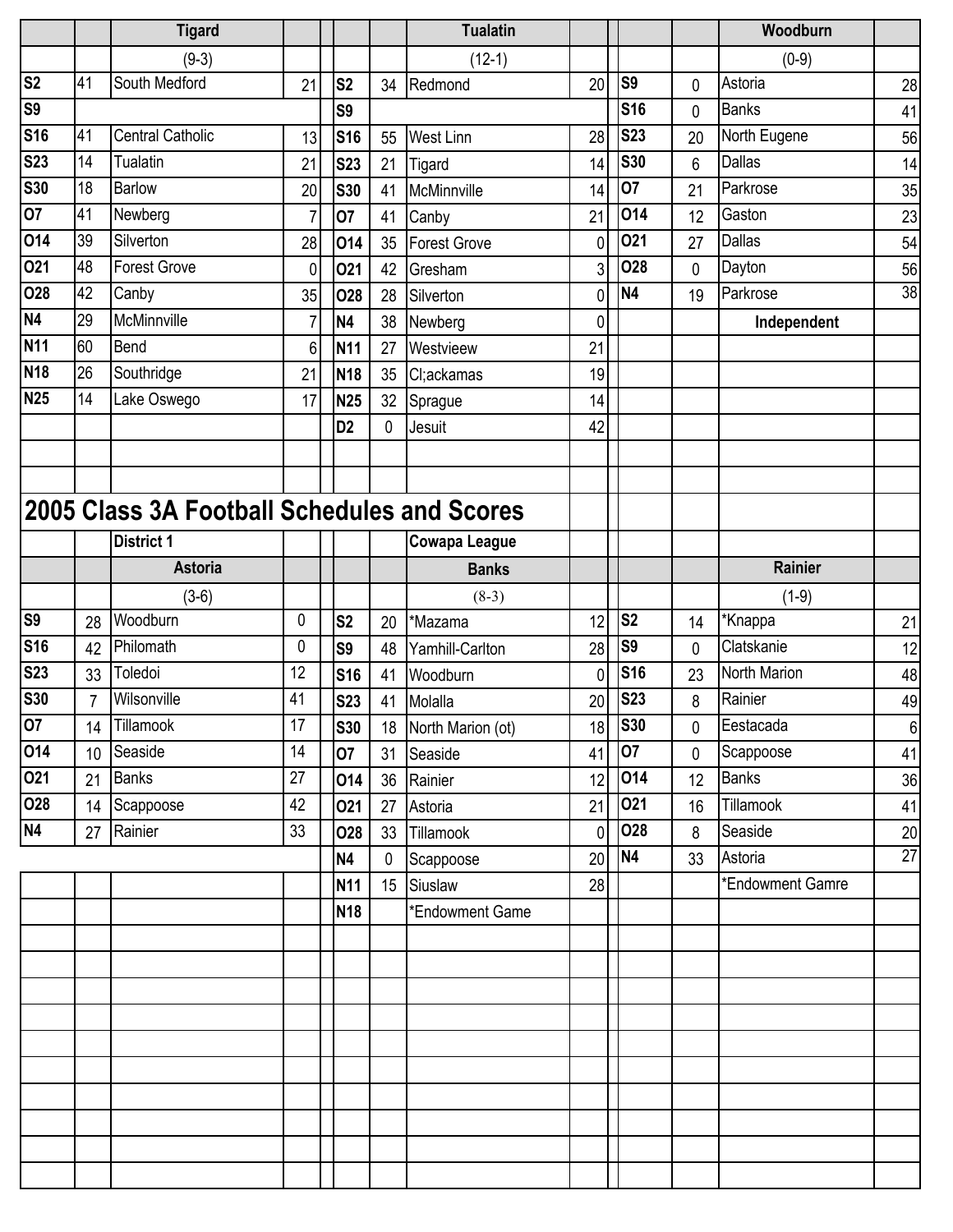|                           |                | <b>Tigard</b>                               |    |                |    | <b>Tualatin</b>      |                |                |             | Woodburn         |                 |
|---------------------------|----------------|---------------------------------------------|----|----------------|----|----------------------|----------------|----------------|-------------|------------------|-----------------|
|                           |                | $(9-3)$                                     |    |                |    | $(12-1)$             |                |                |             | $(0-9)$          |                 |
| $\overline{\text{S2}}$    | 41             | South Medford                               | 21 | S <sub>2</sub> | 34 | Redmond              | 20             | <b>S9</b>      | 0           | Astoria          | 28              |
| <b>S9</b>                 |                |                                             |    | S <sub>9</sub> |    |                      |                | <b>S16</b>     | 0           | <b>Banks</b>     | 41              |
| <b>S16</b>                | 41             | <b>Central Catholic</b>                     | 13 | <b>S16</b>     | 55 | <b>West Linn</b>     | 28             | <b>S23</b>     | 20          | North Eugene     | 56              |
| <b>S23</b>                | 14             | Tualatin                                    | 21 | <b>S23</b>     | 21 | Tigard               | 14             | <b>S30</b>     | 6           | Dallas           | 14              |
| <b>S30</b>                | 18             | Barlow                                      | 20 | <b>S30</b>     | 41 | McMinnville          | 14             | 07             | 21          | Parkrose         | 35              |
| 07                        | 41             | Newberg                                     | 7  | 07             | 41 | Canby                | 21             | 014            | 12          | Gaston           | 23              |
| $\overline{O}14$          | 39             | Silverton                                   | 28 | 014            | 35 | <b>Forest Grove</b>  | 0              | 021            | 27          | Dallas           | 54              |
| 021                       | 48             | <b>Forest Grove</b>                         | 0  | 021            | 42 | Gresham              | $\overline{3}$ | 028            | 0           | Dayton           | 56              |
| 028                       | 42             | Canby                                       | 35 | 028            | 28 | Silverton            | 0              | <b>N4</b>      | 19          | Parkrose         | 38              |
| <b>N4</b>                 | 29             | McMinnville                                 | 7  | N4             | 38 | Newberg              | 0              |                |             | Independent      |                 |
| <b>N11</b>                | 60             | Bend                                        | 6  | <b>N11</b>     | 27 | Westvieew            | 21             |                |             |                  |                 |
| <b>N18</b>                | 26             | Southridge                                  | 21 | <b>N18</b>     | 35 | Cl;ackamas           | 19             |                |             |                  |                 |
| $\overline{\mathsf{N}}25$ | 14             | Lake Oswego                                 | 17 | <b>N25</b>     | 32 | Sprague              | 14             |                |             |                  |                 |
|                           |                |                                             |    | D <sub>2</sub> | 0  | Jesuit               | 42             |                |             |                  |                 |
|                           |                |                                             |    |                |    |                      |                |                |             |                  |                 |
|                           |                |                                             |    |                |    |                      |                |                |             |                  |                 |
|                           |                | 2005 Class 3A Football Schedules and Scores |    |                |    |                      |                |                |             |                  |                 |
|                           |                | <b>District 1</b>                           |    |                |    | <b>Cowapa League</b> |                |                |             |                  |                 |
|                           |                | <b>Astoria</b>                              |    |                |    | <b>Banks</b>         |                |                |             | <b>Rainier</b>   |                 |
|                           |                | $(3-6)$                                     |    |                |    | $(8-3)$              |                |                |             | $(1-9)$          |                 |
| <b>S9</b>                 | 28             | Woodburn                                    | 0  | S <sub>2</sub> | 20 | *Mazama              | 12             | S <sub>2</sub> | 14          | *Knappa          | 21              |
| <b>S16</b>                | 42             | Philomath                                   | 0  | S <sub>9</sub> | 48 | Yamhill-Carlton      | 28             | S <sub>9</sub> | 0           | Clatskanie       | 12              |
| <b>S23</b>                | 33             | Toledoi                                     | 12 | <b>S16</b>     | 41 | Woodburn             | 0              | <b>S16</b>     | 23          | North Marion     | 48              |
| <b>S30</b>                | $\overline{7}$ | Wilsonville                                 | 41 | <b>S23</b>     | 41 | Molalla              | 20             | <b>S23</b>     | 8           | Rainier          | 49              |
| 07                        | 14             | Tillamook                                   | 17 | <b>S30</b>     |    | 18 North Marion (ot) | 18             | <b>S30</b>     | $\mathbf 0$ | Eestacada        | 6               |
| 014                       | 10             | Seaside                                     | 14 | 07             |    | 31 Seaside           | 41             | 07             | $\mathbf 0$ | Scappoose        | 41              |
| 021                       | 21             | <b>Banks</b>                                | 27 | 014            | 36 | Rainier              | 12             | 014            | 12          | <b>Banks</b>     | 36              |
| 028                       | 14             | Scappoose                                   | 42 | 021            | 27 | Astoria              | 21             | 021            | 16          | Tillamook        | 41              |
| N4                        | 27             | Rainier                                     | 33 | <b>O28</b>     |    | 33 Tillamook         | $\overline{0}$ | 028            | 8           | Seaside          | 20              |
|                           |                |                                             |    | <b>N4</b>      | 0  | Scappoose            | 20             | N <sub>4</sub> | 33          | Astoria          | $\overline{27}$ |
|                           |                |                                             |    | <b>N11</b>     |    | 15 Siuslaw           | 28             |                |             | *Endowment Gamre |                 |
|                           |                |                                             |    | <b>N18</b>     |    | *Endowment Game      |                |                |             |                  |                 |
|                           |                |                                             |    |                |    |                      |                |                |             |                  |                 |
|                           |                |                                             |    |                |    |                      |                |                |             |                  |                 |
|                           |                |                                             |    |                |    |                      |                |                |             |                  |                 |
|                           |                |                                             |    |                |    |                      |                |                |             |                  |                 |
|                           |                |                                             |    |                |    |                      |                |                |             |                  |                 |
|                           |                |                                             |    |                |    |                      |                |                |             |                  |                 |
|                           |                |                                             |    |                |    |                      |                |                |             |                  |                 |
|                           |                |                                             |    |                |    |                      |                |                |             |                  |                 |
|                           |                |                                             |    |                |    |                      |                |                |             |                  |                 |
|                           |                |                                             |    |                |    |                      |                |                |             |                  |                 |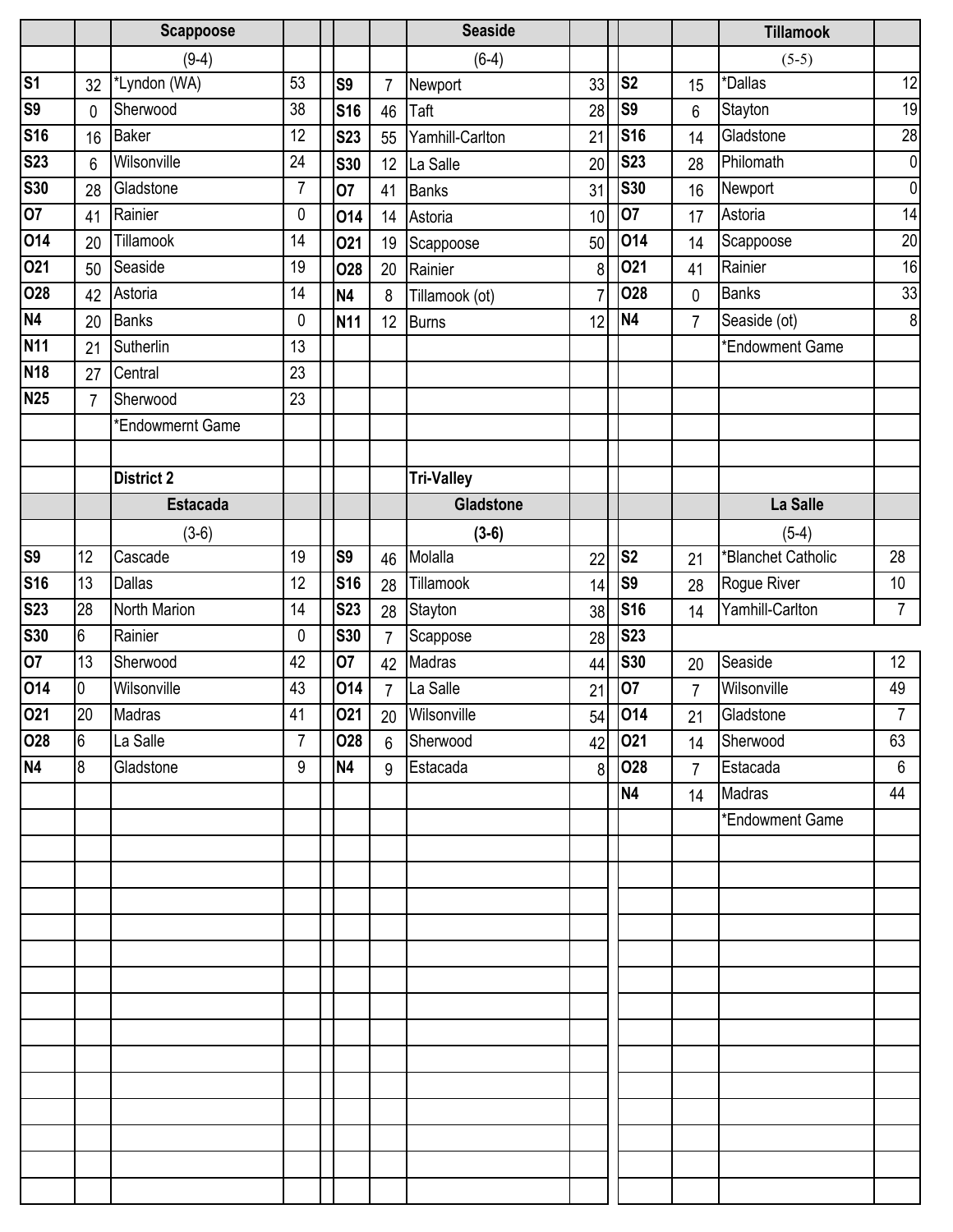|                           |                | <b>Scappoose</b>  |                |                |                | <b>Seaside</b>    |                |                |                | <b>Tillamook</b>   |                |
|---------------------------|----------------|-------------------|----------------|----------------|----------------|-------------------|----------------|----------------|----------------|--------------------|----------------|
|                           |                | $(9-4)$           |                |                |                | $(6-4)$           |                |                |                | $(5-5)$            |                |
| $\overline{\mathsf{s}}$ 1 | 32             | *Lyndon (WA)      | 53             | S <sub>9</sub> | $\overline{7}$ | Newport           | 33             | S <sub>2</sub> | 15             | *Dallas            | 12             |
| S <sub>9</sub>            | 0              | Sherwood          | 38             | <b>S16</b>     | 46             | Taft              | 28             | S <sub>9</sub> | 6              | Stayton            | 19             |
| <b>S16</b>                | 16             | <b>Baker</b>      | 12             | <b>S23</b>     | 55             | Yamhill-Carlton   | 21             | <b>S16</b>     | 14             | Gladstone          | 28             |
| <b>S23</b>                | 6              | Wilsonville       | 24             | <b>S30</b>     | 12             | La Salle          | 20             | <b>S23</b>     | 28             | Philomath          | $\overline{0}$ |
| <b>S30</b>                | 28             | Gladstone         | $\overline{7}$ | 07             | 41             | <b>Banks</b>      | 31             | <b>S30</b>     | 16             | Newport            | $\overline{0}$ |
| 07                        | 41             | Rainier           | 0              | 014            | 14             | Astoria           | 10             | 07             | 17             | Astoria            | 14             |
| 014                       | 20             | Tillamook         | 14             | 021            | 19             | Scappoose         | 50             | 014            | 14             | Scappoose          | 20             |
| 021                       | 50             | Seaside           | 19             | <b>O28</b>     | 20             | Rainier           | 8              | 021            | 41             | Rainier            | 16             |
| 028                       | 42             | Astoria           | 14             | N <sub>4</sub> | 8              | Tillamook (ot)    |                | <b>O28</b>     | 0              | <b>Banks</b>       | 33             |
| N4                        | 20             | <b>Banks</b>      | 0              | <b>N11</b>     | 12             | <b>Burns</b>      | 12             | N <sub>4</sub> | $\overline{7}$ | Seaside (ot)       | $\overline{8}$ |
| <b>N11</b>                | 21             | Sutherlin         | 13             |                |                |                   |                |                |                | *Endowment Game    |                |
| <b>N18</b>                | 27             | Central           | 23             |                |                |                   |                |                |                |                    |                |
| <b>N25</b>                | $\overline{7}$ | Sherwood          | 23             |                |                |                   |                |                |                |                    |                |
|                           |                | *Endowmernt Game  |                |                |                |                   |                |                |                |                    |                |
|                           |                |                   |                |                |                |                   |                |                |                |                    |                |
|                           |                | <b>District 2</b> |                |                |                | <b>Tri-Valley</b> |                |                |                |                    |                |
|                           |                | <b>Estacada</b>   |                |                |                | <b>Gladstone</b>  |                |                |                | La Salle           |                |
|                           |                | $(3-6)$           |                |                |                | $(3-6)$           |                |                |                | $(5-4)$            |                |
| <b>S9</b>                 | 12             | Cascade           | 19             | <b>S9</b>      | 46             | Molalla           | 22             | S <sub>2</sub> | 21             | *Blanchet Catholic | 28             |
| <b>S16</b>                | 13             | <b>Dallas</b>     | 12             | <b>S16</b>     | 28             | Tillamook         | 14             | S <sub>9</sub> | 28             | Rogue River        | 10             |
| <b>S23</b>                | 28             | North Marion      | 14             | <b>S23</b>     | 28             | Stayton           | 38             | <b>S16</b>     | 14             | Yamhill-Carlton    | $\overline{7}$ |
| <b>S30</b>                | 6              | Rainier           | 0              | <b>S30</b>     | $\overline{7}$ | Scappose          | 28             | <b>S23</b>     |                |                    |                |
| 07                        | 13             | Sherwood          | 42             | 07             | 42             | Madras            | 44             | <b>S30</b>     | 20             | Seaside            | 12             |
| 014                       | 0              | Wilsonville       | 43             | 014            | $\overline{7}$ | La Salle          | 21             | 07             | $\overline{7}$ | Wilsonville        | 49             |
| 021                       | 20             | Madras            | 41             | 021            |                | 20 Wilsonville    |                | 54 014         | 21             | Gladstone          | $\overline{7}$ |
| 028                       | $6\phantom{.}$ | La Salle          | $\overline{7}$ | 028            | 6              | Sherwood          | 42             | 021            | 14             | Sherwood           | 63             |
| N <sub>4</sub>            | 8              | Gladstone         | 9              | <b>N4</b>      | 9              | Estacada          | 8 <sup>1</sup> | 028            | $\overline{7}$ | Estacada           | $6\phantom{1}$ |
|                           |                |                   |                |                |                |                   |                | N <sub>4</sub> | 14             | Madras             | 44             |
|                           |                |                   |                |                |                |                   |                |                |                | *Endowment Game    |                |
|                           |                |                   |                |                |                |                   |                |                |                |                    |                |
|                           |                |                   |                |                |                |                   |                |                |                |                    |                |
|                           |                |                   |                |                |                |                   |                |                |                |                    |                |
|                           |                |                   |                |                |                |                   |                |                |                |                    |                |
|                           |                |                   |                |                |                |                   |                |                |                |                    |                |
|                           |                |                   |                |                |                |                   |                |                |                |                    |                |
|                           |                |                   |                |                |                |                   |                |                |                |                    |                |
|                           |                |                   |                |                |                |                   |                |                |                |                    |                |
|                           |                |                   |                |                |                |                   |                |                |                |                    |                |
|                           |                |                   |                |                |                |                   |                |                |                |                    |                |
|                           |                |                   |                |                |                |                   |                |                |                |                    |                |
|                           |                |                   |                |                |                |                   |                |                |                |                    |                |
|                           |                |                   |                |                |                |                   |                |                |                |                    |                |
|                           |                |                   |                |                |                |                   |                |                |                |                    |                |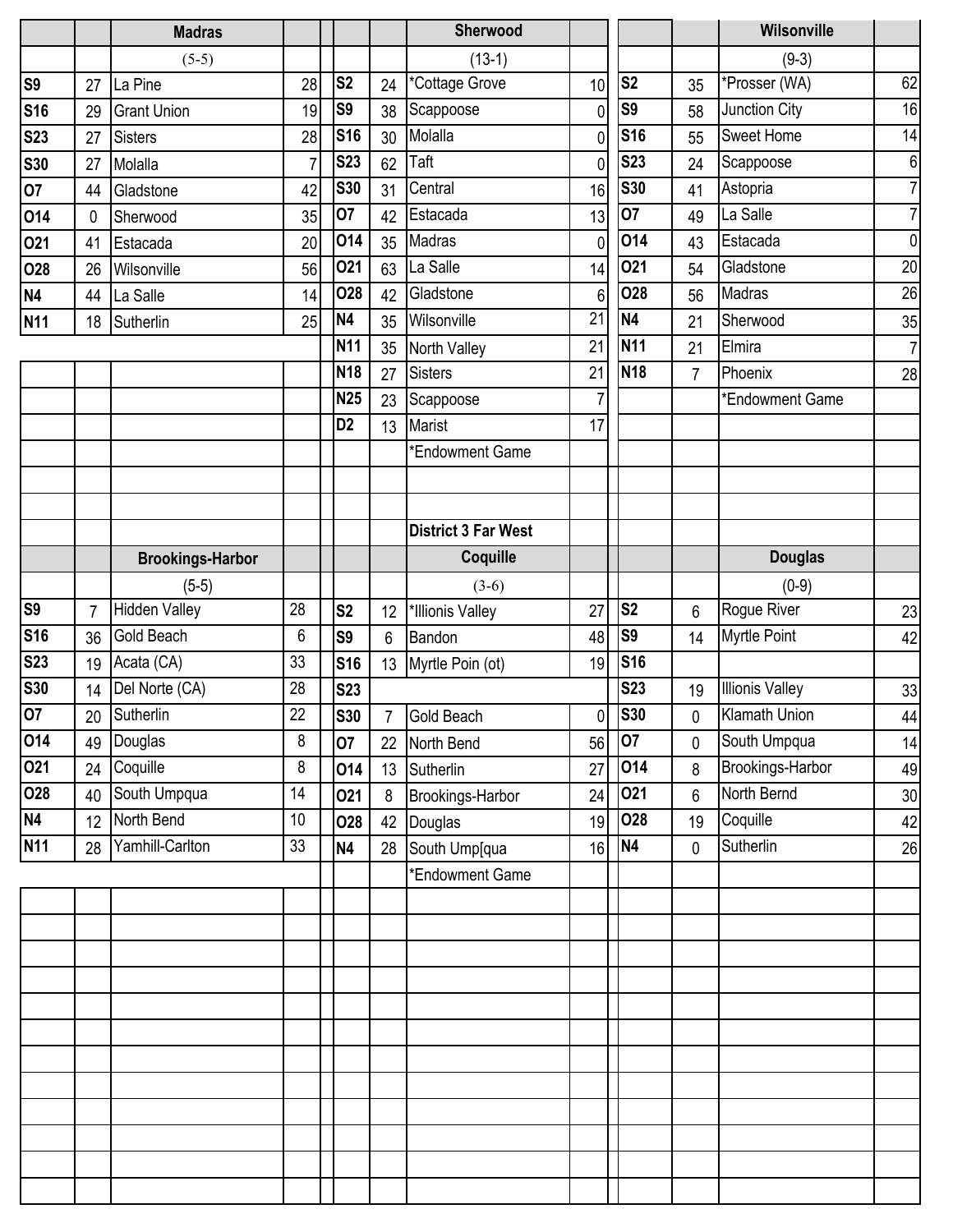|                |                 | <b>Madras</b>           |                 |                |    | Sherwood                   |                 |                |    | Wilsonville            |                 |
|----------------|-----------------|-------------------------|-----------------|----------------|----|----------------------------|-----------------|----------------|----|------------------------|-----------------|
|                |                 | $(5-5)$                 |                 |                |    | $(13-1)$                   |                 |                |    | $(9-3)$                |                 |
| S <sub>9</sub> | 27              | La Pine                 | 28              | S <sub>2</sub> | 24 | *Cottage Grove             | 10              | S <sub>2</sub> | 35 | *Prosser (WA)          | 62              |
| <b>S16</b>     | 29              | <b>Grant Union</b>      | 19              | S <sub>9</sub> | 38 | Scappoose                  | $\mathbf 0$     | S <sub>9</sub> | 58 | Junction City          | 16              |
| <b>S23</b>     | 27              | <b>Sisters</b>          | 28              | <b>S16</b>     | 30 | Molalla                    | $\mathbf{0}$    | <b>S16</b>     | 55 | <b>Sweet Home</b>      | 14              |
| <b>S30</b>     | 27              | Molalla                 | $\overline{7}$  | <b>S23</b>     | 62 | Taft                       | 0               | <b>S23</b>     | 24 | Scappoose              | $6 \overline{}$ |
| 07             | 44              | Gladstone               | 42              | <b>S30</b>     | 31 | Central                    | 16              | <b>S30</b>     | 41 | Astopria               | $\overline{7}$  |
| 014            | 0               | Sherwood                | 35              | 07             | 42 | Estacada                   | 13              | 07             | 49 | La Salle               | $\overline{7}$  |
| 021            | 41              | Estacada                | 20              | 014            | 35 | Madras                     | $\mathbf{0}$    | 014            | 43 | Estacada               | $\overline{0}$  |
| 028            | 26              | Wilsonville             | 56              | 021            | 63 | La Salle                   | 14              | 021            | 54 | Gladstone              | 20              |
| <b>N4</b>      | 44              | La Salle                | 14              | 028            | 42 | Gladstone                  | 6               | <b>O28</b>     | 56 | Madras                 | 26              |
| <b>N11</b>     | 18              | Sutherlin               | 25              | N <sub>4</sub> | 35 | Wilsonville                | $\overline{21}$ | <b>N4</b>      | 21 | Sherwood               | 35              |
|                |                 |                         |                 | <b>N11</b>     | 35 | North Valley               | 21              | <b>N11</b>     | 21 | Elmira                 | $\overline{7}$  |
|                |                 |                         |                 | <b>N18</b>     | 27 | <b>Sisters</b>             | 21              | <b>N18</b>     | 7  | Phoenix                | 28              |
|                |                 |                         |                 | <b>N25</b>     | 23 | Scappoose                  | $\overline{7}$  |                |    | *Endowment Game        |                 |
|                |                 |                         |                 | D <sub>2</sub> | 13 | Marist                     | 17              |                |    |                        |                 |
|                |                 |                         |                 |                |    | *Endowment Game            |                 |                |    |                        |                 |
|                |                 |                         |                 |                |    |                            |                 |                |    |                        |                 |
|                |                 |                         |                 |                |    |                            |                 |                |    |                        |                 |
|                |                 |                         |                 |                |    | <b>District 3 Far West</b> |                 |                |    |                        |                 |
|                |                 | <b>Brookings-Harbor</b> |                 |                |    | Coquille                   |                 |                |    | <b>Douglas</b>         |                 |
|                |                 | $(5-5)$                 |                 |                |    | $(3-6)$                    |                 |                |    | $(0-9)$                |                 |
| S <sub>9</sub> | $\overline{7}$  | <b>Hidden Valley</b>    | 28              | S <sub>2</sub> | 12 | *Illionis Valley           | 27              | S <sub>2</sub> | 6  | Rogue River            | 23              |
| <b>S16</b>     | 36              | Gold Beach              | 6               | S9             | 6  | Bandon                     | 48              | S <sub>9</sub> | 14 | Myrtle Point           | 42              |
| <b>S23</b>     | 19              | Acata (CA)              | 33              | <b>S16</b>     |    | 13 Myrtle Poin (ot)        | 19              | <b>S16</b>     |    |                        |                 |
| <b>S30</b>     | 14              | Del Norte (CA)          | 28              | <b>S23</b>     |    |                            |                 | <b>S23</b>     | 19 | <b>Illionis Valley</b> | 33              |
| 07             | 20 <sub>2</sub> | Sutherlin               | $\overline{22}$ | <b>S30</b>     |    | $\overline{7}$ Gold Beach  | 0               | <b>S30</b>     | 0  | <b>Klamath Union</b>   | 44              |
| 014            | 49              | Douglas                 | 8               | 07             | 22 | North Bend                 | 56              | 07             | 0  | South Umpqua           | 14              |
| 021            | 24              | Coquille                | 8               | 014            |    | 13 Sutherlin               | 27              | 014            | 8  | Brookings-Harbor       | 49              |
| 028            | 40              | South Umpqua            | 14              | 021            | 8  | Brookings-Harbor           | 24              | 021            | 6  | North Bernd            | 30              |
| N4             | 12              | North Bend              | 10              | 028            | 42 | Douglas                    | 19              | <b>O28</b>     | 19 | Coquille               | 42              |
| <b>N11</b>     | 28              | Yamhill-Carlton         | 33              | N <sub>4</sub> | 28 | South Ump[qua              | 16              | TN4            | 0  | Sutherlin              | 26              |
|                |                 |                         |                 |                |    | *Endowment Game            |                 |                |    |                        |                 |
|                |                 |                         |                 |                |    |                            |                 |                |    |                        |                 |
|                |                 |                         |                 |                |    |                            |                 |                |    |                        |                 |
|                |                 |                         |                 |                |    |                            |                 |                |    |                        |                 |
|                |                 |                         |                 |                |    |                            |                 |                |    |                        |                 |
|                |                 |                         |                 |                |    |                            |                 |                |    |                        |                 |
|                |                 |                         |                 |                |    |                            |                 |                |    |                        |                 |
|                |                 |                         |                 |                |    |                            |                 |                |    |                        |                 |
|                |                 |                         |                 |                |    |                            |                 |                |    |                        |                 |
|                |                 |                         |                 |                |    |                            |                 |                |    |                        |                 |
|                |                 |                         |                 |                |    |                            |                 |                |    |                        |                 |
|                |                 |                         |                 |                |    |                            |                 |                |    |                        |                 |
|                |                 |                         |                 |                |    |                            |                 |                |    |                        |                 |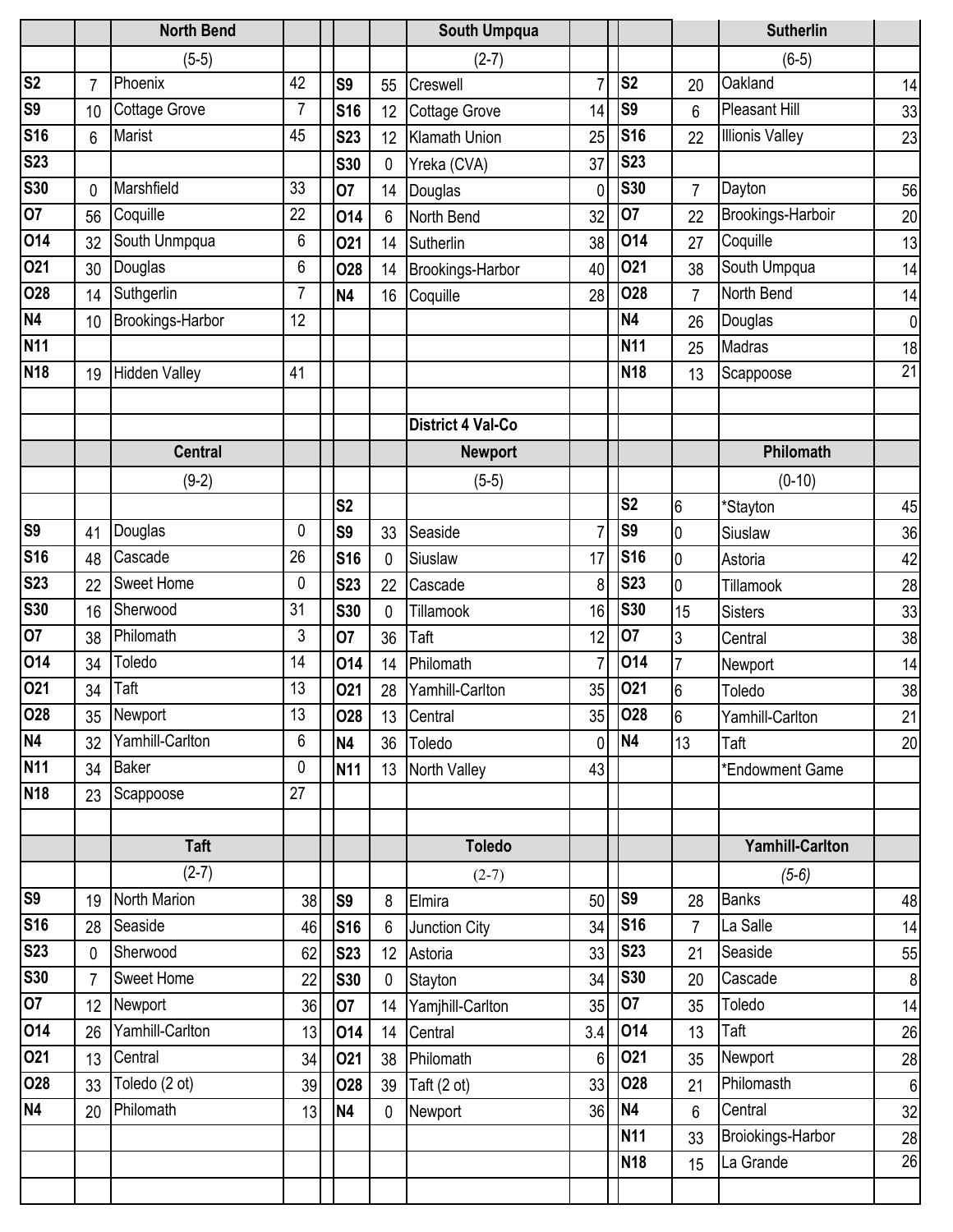|                |                | <b>North Bend</b>    |                |                |                | South Umpqua             |                |                 |                 | <b>Sutherlin</b>       |                 |
|----------------|----------------|----------------------|----------------|----------------|----------------|--------------------------|----------------|-----------------|-----------------|------------------------|-----------------|
|                |                | $(5-5)$              |                |                |                | $(2-7)$                  |                |                 |                 | $(6-5)$                |                 |
| S <sub>2</sub> | $\overline{7}$ | Phoenix              | 42             | S <sub>9</sub> | 55             | Creswell                 | $\overline{7}$ | S <sub>2</sub>  | 20              | Oakland                | 14              |
| <b>S9</b>      | 10             | <b>Cottage Grove</b> | $\overline{7}$ | <b>S16</b>     | 12             | Cottage Grove            | 14             | S <sub>9</sub>  | 6               | Pleasant Hill          | 33              |
| <b>S16</b>     | 6              | <b>Marist</b>        | 45             | <b>S23</b>     | 12             | Klamath Union            | 25             | <b>S16</b>      | 22              | <b>Illionis Valley</b> | 23              |
| <b>S23</b>     |                |                      |                | <b>S30</b>     | $\mathbf 0$    | Yreka (CVA)              | 37             | <b>S23</b>      |                 |                        |                 |
| <b>S30</b>     | 0              | Marshfield           | 33             | 07             | 14             | Douglas                  | $\mathbf 0$    | <b>S30</b>      | 7               | Dayton                 | 56              |
| 07             | 56             | Coquille             | 22             | 014            | 6              | North Bend               | 32             | 07              | 22              | Brookings-Harboir      | 20              |
| 014            | 32             | South Unmpqua        | 6              | 021            | 14             | Sutherlin                | 38             | 014             | 27              | Coquille               | 13              |
| 021            | 30             | Douglas              | 6              | 028            | 14             | Brookings-Harbor         | 40             | 021             | 38              | South Umpqua           | 14              |
| <b>O28</b>     | 14             | Suthgerlin           | 7              | <b>N4</b>      | 16             | Coquille                 | 28             | 028             | $\overline{7}$  | North Bend             | 14              |
| <b>N4</b>      | 10             | Brookings-Harbor     | 12             |                |                |                          |                | <b>N4</b>       | 26              | Douglas                | $\mathbf{0}$    |
| <b>N11</b>     |                |                      |                |                |                |                          |                | N <sub>11</sub> | 25              | Madras                 | 18              |
| <b>N18</b>     | 19             | <b>Hidden Valley</b> | 41             |                |                |                          |                | <b>N18</b>      | 13              | Scappoose              | $\overline{21}$ |
|                |                |                      |                |                |                |                          |                |                 |                 |                        |                 |
|                |                |                      |                |                |                | <b>District 4 Val-Co</b> |                |                 |                 |                        |                 |
|                |                | <b>Central</b>       |                |                |                | <b>Newport</b>           |                |                 |                 | Philomath              |                 |
|                |                | $(9-2)$              |                |                |                | $(5-5)$                  |                |                 |                 | $(0-10)$               |                 |
|                |                |                      |                | S <sub>2</sub> |                |                          |                | S <sub>2</sub>  | $6\phantom{.}6$ | *Stayton               | 45              |
| <b>S9</b>      | 41             | Douglas              | 0              | S <sub>9</sub> | 33             | Seaside                  | 7              | S <sub>9</sub>  | $\mathbf 0$     | Siuslaw                | 36              |
| <b>S16</b>     | 48             | Cascade              | 26             | <b>S16</b>     | $\mathbf 0$    | Siuslaw                  | 17             | <b>S16</b>      | $\mathbf 0$     | Astoria                | 42              |
| <b>S23</b>     | 22             | <b>Sweet Home</b>    | 0              | <b>S23</b>     | 22             | Cascade                  | 8              | <b>S23</b>      | 0               | Tillamook              | 28              |
| <b>S30</b>     | 16             | Sherwood             | 31             | <b>S30</b>     | 0              | Tillamook                | 16             | <b>S30</b>      | 15              | <b>Sisters</b>         | 33              |
| 07             | 38             | Philomath            | 3              | 07             | 36             | Taft                     | 12             | 07              | 3               | Central                | 38              |
| 014            | 34             | Toledo               | 14             | 014            | 14             | Philomath                | $\overline{7}$ | 014             | $\overline{7}$  | Newport                | 14              |
| 021            | 34             | Taft                 | 13             | 021            | 28             | Yamhill-Carlton          | 35             | 021             | 6               | Toledo                 | 38              |
| 028            | 35             | Newport              | 13             | 028            |                | 13 Central               | 35             | 028             | $6\overline{6}$ | Yamhill-Carlton        | 21              |
| <b>N4</b>      | 32             | Yamhill-Carlton      | 6              | <b>N4</b>      | 36             | Toledo                   | $\mathbf{0}$   | N <sub>4</sub>  | 13              | Taft                   | 20              |
| <b>N11</b>     |                | 34 Baker             | 0              | <b>N11</b>     |                | 13 North Valley          | 43             |                 |                 | *Endowment Game        |                 |
| <b>N18</b>     | 23             | Scappoose            | 27             |                |                |                          |                |                 |                 |                        |                 |
|                |                |                      |                |                |                |                          |                |                 |                 |                        |                 |
|                |                | <b>Taft</b>          |                |                |                | <b>Toledo</b>            |                |                 |                 | <b>Yamhill-Carlton</b> |                 |
|                |                | $(2-7)$              |                |                |                | $(2-7)$                  |                |                 |                 | $(5-6)$                |                 |
| S <sub>9</sub> | 19             | North Marion         | 38             | S9             | 8              | Elmira                   | 50             | S9              | 28              | <b>Banks</b>           | 48              |
| <b>S16</b>     | 28             | Seaside              | 46             | <b>S16</b>     | $6\phantom{1}$ | Junction City            | 34             | S16             | $\overline{7}$  | La Salle               | 14              |
| <b>S23</b>     | $\overline{0}$ | Sherwood             | 62             | <b>S23</b>     | 12             | Astoria                  | 33             | <b>S23</b>      | 21              | Seaside                | 55              |
| <b>S30</b>     | $\overline{7}$ | <b>Sweet Home</b>    | 22             | <b>S30</b>     | $\mathbf{0}$   | Stayton                  | 34             | <b>S30</b>      | 20              | Cascade                | 8               |
| 07             | 12             | Newport              | 36             | 07             | 14             | Yamjhill-Carlton         | 35             | 07              | 35              | Toledo                 | 14              |
| 014            | 26             | Yamhill-Carlton      | 13             | 014            | 14             | Central                  | 3.4            | 014             | 13              | Taft                   | 26              |
| 021            | 13             | Central              | 34             | 021            | 38             | Philomath                | 6 <sup>1</sup> | 021             | 35              | Newport                | 28              |
| <b>O28</b>     | 33             | Toledo (2 ot)        | 39             | <b>O28</b>     | 39             | Taft $(2 \text{ ot})$    | 33             | <b>O28</b>      | 21              | Philomasth             | $6\phantom{1}6$ |
| <b>N4</b>      | 20             | Philomath            | 13             | <b>N4</b>      | 0              | Newport                  | 36             | N <sub>4</sub>  | 6               | Central                | 32              |
|                |                |                      |                |                |                |                          |                | <b>N11</b>      | 33              | Broiokings-Harbor      | 28              |
|                |                |                      |                |                |                |                          |                | <b>N18</b>      | 15              | La Grande              | $\overline{26}$ |
|                |                |                      |                |                |                |                          |                |                 |                 |                        |                 |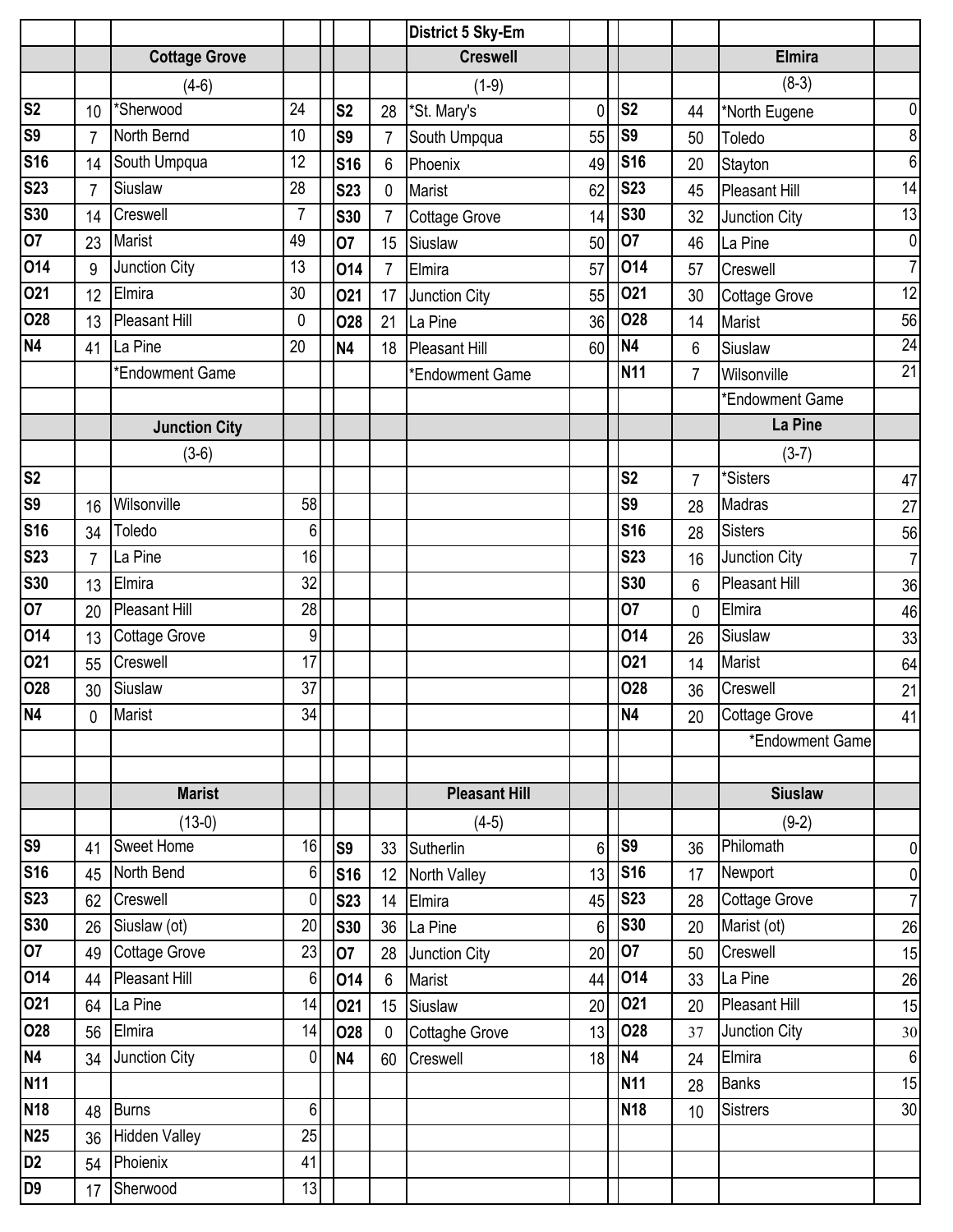|                |                |                      |                  |                |                 | District 5 Sky-Em     |                |                 |                |                      |                  |
|----------------|----------------|----------------------|------------------|----------------|-----------------|-----------------------|----------------|-----------------|----------------|----------------------|------------------|
|                |                | <b>Cottage Grove</b> |                  |                |                 | <b>Creswell</b>       |                |                 |                | <b>Elmira</b>        |                  |
|                |                | $(4-6)$              |                  |                |                 | $(1-9)$               |                |                 |                | $(8-3)$              |                  |
| S <sub>2</sub> | 10             | *Sherwood            | 24               | S <sub>2</sub> | 28              | *St. Mary's           | 0              | S <sub>2</sub>  | 44             | *North Eugene        | 0                |
| S9             | $\overline{7}$ | North Bernd          | 10               | S9             | $\overline{7}$  | South Umpqua          | 55             | S <sub>9</sub>  | 50             | Toledo               | 8                |
| <b>S16</b>     | 14             | South Umpqua         | 12               | <b>S16</b>     | 6               | Phoenix               | 49             | <b>S16</b>      | 20             | Stayton              | 6                |
| <b>S23</b>     | $\overline{7}$ | Siuslaw              | 28               | <b>S23</b>     | $\mathbf{0}$    | Marist                | 62             | <b>S23</b>      | 45             | <b>Pleasant Hill</b> | 14               |
| <b>S30</b>     | 14             | Creswell             | $\overline{7}$   | <b>S30</b>     | $\overline{7}$  | Cottage Grove         | 14             | <b>S30</b>      | 32             | Junction City        | 13               |
| 07             | 23             | Marist               | 49               | 07             | 15              | Siuslaw               | 50             | 07              | 46             | La Pine              | $\mathbf 0$      |
| 014            | 9              | Junction City        | 13               | 014            | $\overline{7}$  | Elmira                | 57             | 014             | 57             | Creswell             | $\overline{7}$   |
| 021            | 12             | Elmira               | 30               | 021            | 17              | Junction City         | 55             | 021             | 30             | <b>Cottage Grove</b> | 12               |
| <b>O28</b>     | 13             | <b>Pleasant Hill</b> | 0                | <b>O28</b>     | 21              | La Pine               | 36             | 028             | 14             | Marist               | 56               |
| N <sub>4</sub> | 41             | La Pine              | 20               | <b>N4</b>      | 18              | Pleasant Hill         | 60             | N <sub>4</sub>  | 6              | Siuslaw              | 24               |
|                |                | *Endowment Game      |                  |                |                 | *Endowment Game       |                | N <sub>11</sub> | $\overline{7}$ | Wilsonville          | $\overline{21}$  |
|                |                |                      |                  |                |                 |                       |                |                 |                | *Endowment Game      |                  |
|                |                | <b>Junction City</b> |                  |                |                 |                       |                |                 |                | La Pine              |                  |
|                |                | $(3-6)$              |                  |                |                 |                       |                |                 |                | $(3-7)$              |                  |
| S <sub>2</sub> |                |                      |                  |                |                 |                       |                | S <sub>2</sub>  | $\overline{7}$ | *Sisters             | 47               |
| <b>S9</b>      | 16             | Wilsonville          | 58               |                |                 |                       |                | S <sub>9</sub>  | 28             | Madras               | 27               |
| <b>S16</b>     | 34             | Toledo               | 6                |                |                 |                       |                | <b>S16</b>      | 28             | <b>Sisters</b>       | 56               |
| <b>S23</b>     | $\overline{7}$ | La Pine              | 16               |                |                 |                       |                | <b>S23</b>      | 16             | Junction City        | $\overline{7}$   |
| <b>S30</b>     | 13             | Elmira               | 32               |                |                 |                       |                | <b>S30</b>      | 6              | <b>Pleasant Hill</b> | 36               |
| 07             | 20             | <b>Pleasant Hill</b> | 28               |                |                 |                       |                | 07              | 0              | Elmira               | 46               |
| 014            | 13             | <b>Cottage Grove</b> | $\boldsymbol{9}$ |                |                 |                       |                | 014             | 26             | Siuslaw              | 33               |
| 021            | 55             | Creswell             | 17               |                |                 |                       |                | 021             | 14             | Marist               | 64               |
| <b>O28</b>     | 30             | Siuslaw              | 37               |                |                 |                       |                | 028             | 36             | Creswell             | 21               |
| <b>N4</b>      | 0              | Marist               | 34               |                |                 |                       |                | N <sub>4</sub>  | 20             | Cottage Grove        | 41               |
|                |                |                      |                  |                |                 |                       |                |                 |                | *Endowment Game      |                  |
|                |                |                      |                  |                |                 |                       |                |                 |                |                      |                  |
|                |                | <b>Marist</b>        |                  |                |                 | <b>Pleasant Hill</b>  |                |                 |                | <b>Siuslaw</b>       |                  |
|                |                | $(13-0)$             |                  |                |                 | $(4-5)$               |                |                 |                | $(9-2)$              |                  |
| <b>S9</b>      | 41             | <b>Sweet Home</b>    | 16               | S <sub>9</sub> |                 | 33 Sutherlin          | 6              | S <sub>9</sub>  | 36             | Philomath            | $\mathbf 0$      |
| <b>S16</b>     | 45             | North Bend           | 6                | <b>S16</b>     | 12 <sup>°</sup> | North Valley          | 13             | <b>S16</b>      | 17             | Newport              | $\boldsymbol{0}$ |
| <b>S23</b>     | 62             | Creswell             | $\mathbf 0$      | <b>S23</b>     | 14              | Elmira                | 45             | <b>S23</b>      | 28             | Cottage Grove        | $\overline{7}$   |
| <b>S30</b>     | 26             | Siuslaw (ot)         | 20               | <b>S30</b>     | 36              | La Pine               | $6\phantom{a}$ | <b>S30</b>      | 20             | Marist (ot)          | 26               |
| O7             | 49             | Cottage Grove        | 23               | 07             | 28              | Junction City         | 20             | 07              | 50             | Creswell             | 15               |
| 014            |                | 44 Pleasant Hill     | 6                | 014            | $6\,$           | Marist                | 44             | 014             | 33             | La Pine              | 26               |
| 021            | 64             | La Pine              | 14               | 021            | 15              | Siuslaw               | 20             | 021             | 20             | <b>Pleasant Hill</b> | 15               |
| 028            |                | 56 Elmira            | 14               | <b>O28</b>     | $\mathbf{0}$    | <b>Cottaghe Grove</b> | 13             | 028             | 37             | Junction City        | 30               |
| <b>N4</b>      | 34             | Junction City        | $\mathbf 0$      | <b>N4</b>      | 60              | Creswell              | 18             | N <sub>4</sub>  | 24             | Elmira               | $\overline{6}$   |
| <b>N11</b>     |                |                      |                  |                |                 |                       |                | N <sub>11</sub> | 28             | <b>Banks</b>         | 15               |
| <b>N18</b>     | 48             | <b>Burns</b>         | $\,6\,$          |                |                 |                       |                | <b>N18</b>      | 10             | <b>Sistrers</b>      | 30               |
| <b>N25</b>     | 36             | <b>Hidden Valley</b> | 25               |                |                 |                       |                |                 |                |                      |                  |
| D <sub>2</sub> |                | 54 Phoienix          | 41               |                |                 |                       |                |                 |                |                      |                  |
| D <sub>9</sub> | 17             | Sherwood             | 13               |                |                 |                       |                |                 |                |                      |                  |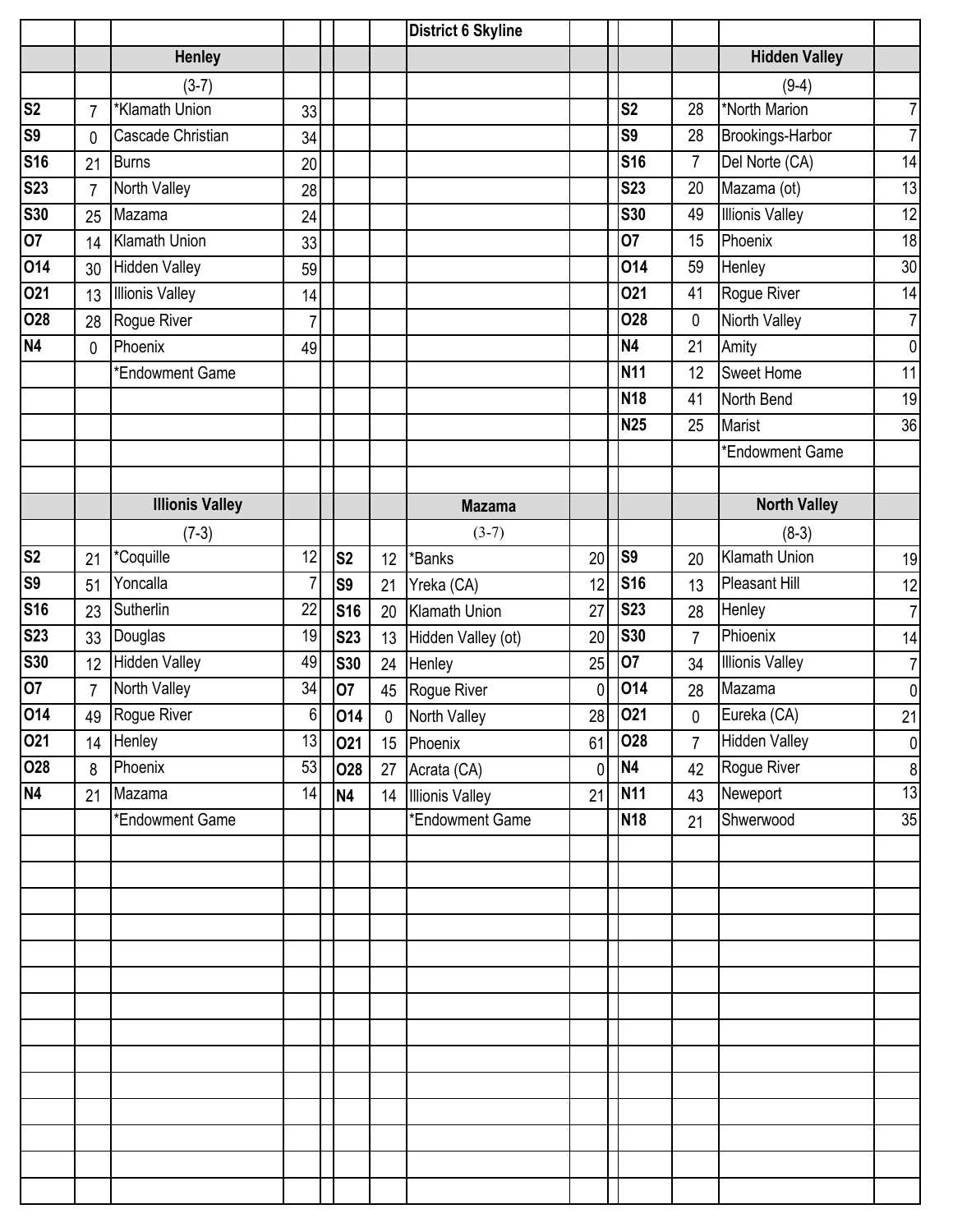|                |                |                        |          |                |           | <b>District 6 Skyline</b> |    |                 |                |                        |                  |
|----------------|----------------|------------------------|----------|----------------|-----------|---------------------------|----|-----------------|----------------|------------------------|------------------|
|                |                | <b>Henley</b>          |          |                |           |                           |    |                 |                | <b>Hidden Valley</b>   |                  |
|                |                | $(3-7)$                |          |                |           |                           |    |                 |                | $(9-4)$                |                  |
| S <sub>2</sub> | $\overline{7}$ | *Klamath Union         | 33       |                |           |                           |    | S <sub>2</sub>  | 28             | *North Marion          | $\overline{7}$   |
| <b>S9</b>      | 0              | Cascade Christian      | 34       |                |           |                           |    | S <sub>9</sub>  | 28             | Brookings-Harbor       | $\overline{7}$   |
| <b>S16</b>     | 21             | <b>Burns</b>           | 20       |                |           |                           |    | <b>S16</b>      | $\overline{7}$ | Del Norte (CA)         | 14               |
| <b>S23</b>     | $\overline{7}$ | North Valley           | 28       |                |           |                           |    | <b>S23</b>      | 20             | Mazama (ot)            | 13               |
| <b>S30</b>     | 25             | Mazama                 | 24       |                |           |                           |    | <b>S30</b>      | 49             | <b>Illionis Valley</b> | 12               |
| 07             | 14             | <b>Klamath Union</b>   | 33       |                |           |                           |    | 07              | 15             | Phoenix                | 18               |
| 014            | 30             | <b>Hidden Valley</b>   | 59       |                |           |                           |    | 014             | 59             | Henley                 | 30               |
| 021            | 13             | <b>Illionis Valley</b> | 14       |                |           |                           |    | 021             | 41             | Rogue River            | 14               |
| <b>O28</b>     | 28             | Rogue River            | 7        |                |           |                           |    | <b>O28</b>      | 0              | <b>Niorth Valley</b>   | $\overline{7}$   |
| N <sub>4</sub> | 0              | Phoenix                | 49       |                |           |                           |    | N <sub>4</sub>  | 21             | Amity                  | 0                |
|                |                | *Endowment Game        |          |                |           |                           |    | <b>N11</b>      | 12             | <b>Sweet Home</b>      | 11               |
|                |                |                        |          |                |           |                           |    | <b>N18</b>      | 41             | North Bend             | 19               |
|                |                |                        |          |                |           |                           |    | <b>N25</b>      | 25             | <b>Marist</b>          | 36               |
|                |                |                        |          |                |           |                           |    |                 |                | *Endowment Game        |                  |
|                |                |                        |          |                |           |                           |    |                 |                |                        |                  |
|                |                | <b>Illionis Valley</b> |          |                |           | <b>Mazama</b>             |    |                 |                | <b>North Valley</b>    |                  |
|                |                | $(7-3)$                |          |                |           | $(3-7)$                   |    |                 |                | $(8-3)$                |                  |
| S <sub>2</sub> | 21             | *Coquille              | 12       | S <sub>2</sub> | 12        | *Banks                    | 20 | S <sub>9</sub>  | 20             | <b>Klamath Union</b>   | 19               |
| <b>S9</b>      | 51             | Yoncalla               | 7        | S <sub>9</sub> | 21        | Yreka (CA)                | 12 | <b>S16</b>      | 13             | Pleasant Hill          | 12               |
| <b>S16</b>     | 23             | Sutherlin              | 22       | <b>S16</b>     | 20        | <b>Klamath Union</b>      | 27 | <b>S23</b>      | 28             | Henley                 | $\overline{7}$   |
| <b>S23</b>     | 33             | Douglas                | 19       | <b>S23</b>     | 13        | Hidden Valley (ot)        | 20 | <b>S30</b>      | $\overline{7}$ | Phioenix               | 14               |
| <b>S30</b>     | 12             | <b>Hidden Valley</b>   | 49       | <b>S30</b>     | 24        | Henley                    | 25 | 07              | 34             | <b>Illionis Valley</b> | $\overline{7}$   |
| 07             | $\overline{7}$ | North Valley           | 34       | 07             | 45        | Rogue River               | 0  | 014             | 28             | Mazama                 | $\overline{0}$   |
| 014            |                | 49 Rogue River         | $6 \mid$ | 014            | $\pmb{0}$ | North Valley              | 28 | 021             | 0              | Eureka (CA)            | 21               |
| 021            |                | 14 Henley              | 13       | 021            |           | 15 Phoenix                | 61 | 028             | $7^{\circ}$    | <b>Hidden Valley</b>   | $\overline{0}$   |
| 028            | 8              | Phoenix                | 53       | 028            | 27        | Acrata (CA)               | 0  | N4              | 42             | Rogue River            | $\boldsymbol{8}$ |
| <b>N4</b>      | 21             | Mazama                 | 14       | <b>N4</b>      |           | 14 Illionis Valley        | 21 | N <sub>11</sub> | 43             | Neweport               | 13               |
|                |                | *Endowment Game        |          |                |           | *Endowment Game           |    | <b>N18</b>      | 21             | Shwerwood              | 35               |
|                |                |                        |          |                |           |                           |    |                 |                |                        |                  |
|                |                |                        |          |                |           |                           |    |                 |                |                        |                  |
|                |                |                        |          |                |           |                           |    |                 |                |                        |                  |
|                |                |                        |          |                |           |                           |    |                 |                |                        |                  |
|                |                |                        |          |                |           |                           |    |                 |                |                        |                  |
|                |                |                        |          |                |           |                           |    |                 |                |                        |                  |
|                |                |                        |          |                |           |                           |    |                 |                |                        |                  |
|                |                |                        |          |                |           |                           |    |                 |                |                        |                  |
|                |                |                        |          |                |           |                           |    |                 |                |                        |                  |
|                |                |                        |          |                |           |                           |    |                 |                |                        |                  |
|                |                |                        |          |                |           |                           |    |                 |                |                        |                  |
|                |                |                        |          |                |           |                           |    |                 |                |                        |                  |
|                |                |                        |          |                |           |                           |    |                 |                |                        |                  |
|                |                |                        |          |                |           |                           |    |                 |                |                        |                  |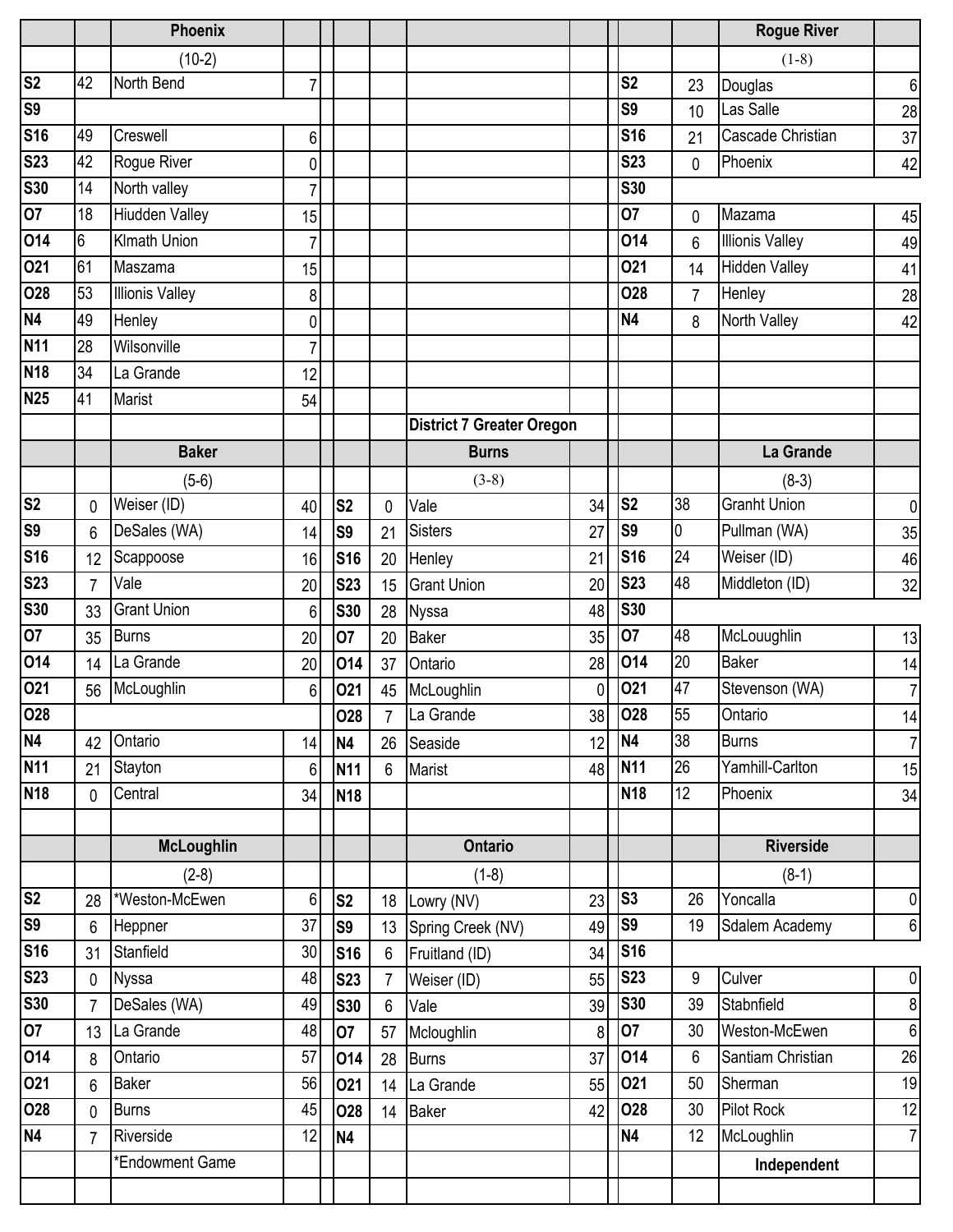|                |                | Phoenix                |                |                |                |                                  |    |                 |                | <b>Rogue River</b>     |                 |
|----------------|----------------|------------------------|----------------|----------------|----------------|----------------------------------|----|-----------------|----------------|------------------------|-----------------|
|                |                | $(10-2)$               |                |                |                |                                  |    |                 |                | $(1-8)$                |                 |
| S <sub>2</sub> | 42             | North Bend             | $\overline{7}$ |                |                |                                  |    | S <sub>2</sub>  | 23             | Douglas                | $6\phantom{1}6$ |
| S <sub>9</sub> |                |                        |                |                |                |                                  |    | S <sub>9</sub>  | 10             | Las Salle              | 28              |
| <b>S16</b>     | 49             | Creswell               | 6              |                |                |                                  |    | <b>S16</b>      | 21             | Cascade Christian      | 37              |
| <b>S23</b>     | 42             | Rogue River            | 0              |                |                |                                  |    | <b>S23</b>      | 0              | Phoenix                | 42              |
| <b>S30</b>     | 14             | North valley           | 7              |                |                |                                  |    | <b>S30</b>      |                |                        |                 |
| 07             | 18             | <b>Hiudden Valley</b>  | 15             |                |                |                                  |    | 07              | 0              | Mazama                 | 45              |
| 014            | 6              | Kimath Union           | $\overline{7}$ |                |                |                                  |    | 014             | 6              | <b>Illionis Valley</b> | 49              |
| 021            | 61             | Maszama                | 15             |                |                |                                  |    | 021             | 14             | <b>Hidden Valley</b>   | 41              |
| <b>O28</b>     | 53             | <b>Illionis Valley</b> | 8              |                |                |                                  |    | 028             | $\overline{7}$ | Henley                 | 28              |
| <b>N4</b>      | 49             | Henley                 | 0              |                |                |                                  |    | N <sub>4</sub>  | 8              | North Valley           | 42              |
| <b>N11</b>     | 28             | Wilsonville            | $\overline{7}$ |                |                |                                  |    |                 |                |                        |                 |
| <b>N18</b>     | 34             | La Grande              | 12             |                |                |                                  |    |                 |                |                        |                 |
| <b>N25</b>     | 41             | Marist                 | 54             |                |                |                                  |    |                 |                |                        |                 |
|                |                |                        |                |                |                | <b>District 7 Greater Oregon</b> |    |                 |                |                        |                 |
|                |                | <b>Baker</b>           |                |                |                | <b>Burns</b>                     |    |                 |                | La Grande              |                 |
|                |                | $(5-6)$                |                |                |                | $(3-8)$                          |    |                 |                | $(8-3)$                |                 |
| S <sub>2</sub> | 0              | Weiser (ID)            | 40             | S <sub>2</sub> | 0              | Vale                             | 34 | S <sub>2</sub>  | 38             | <b>Granht Union</b>    | $\mathbf{0}$    |
| S <sub>9</sub> | 6              | DeSales (WA)           | 14             | S <sub>9</sub> | 21             | <b>Sisters</b>                   | 27 | S9              | 0              | Pullman (WA)           | 35              |
| <b>S16</b>     | 12             | Scappoose              | 16             | <b>S16</b>     | 20             | Henley                           | 21 | <b>S16</b>      | 24             | Weiser (ID)            | 46              |
| <b>S23</b>     | $\overline{7}$ | Vale                   | 20             | <b>S23</b>     | 15             | <b>Grant Union</b>               | 20 | <b>S23</b>      | 48             | Middleton (ID)         | 32              |
| <b>S30</b>     | 33             | <b>Grant Union</b>     | 6              | <b>S30</b>     | 28             | <b>Nyssa</b>                     | 48 | <b>S30</b>      |                |                        |                 |
| 07             | 35             | <b>Burns</b>           | 20             | 07             | 20             | <b>Baker</b>                     | 35 | <b>O7</b>       | 48             | McLouughlin            | 13              |
| 014            | 14             | La Grande              | 20             | 014            | 37             | Ontario                          | 28 | 014             | 20             | <b>Baker</b>           | 14              |
| 021            | 56             | McLoughlin             | $6\phantom{1}$ | 021            |                | 45 McLoughlin                    | 0  | 021             | 47             | Stevenson (WA)         | $\overline{7}$  |
| 028            |                |                        |                | 028            | $\overline{7}$ | La Grande                        | 38 | 028             | 55             | Ontario                | 14              |
| N4             | 42             | Ontario                | 14             | <b>N4</b>      | 26             | Seaside                          | 12 | N <sub>4</sub>  | 38             | <b>Burns</b>           | $\overline{7}$  |
| <b>N11</b>     | 21             | Stayton                | 6              | <b>N11</b>     | 6              | Marist                           | 48 | N <sub>11</sub> | 26             | Yamhill-Carlton        | 15              |
| <b>N18</b>     | 0              | Central                | 34             | <b>N18</b>     |                |                                  |    | <b>N18</b>      | 12             | Phoenix                | 34              |
|                |                |                        |                |                |                |                                  |    |                 |                |                        |                 |
|                |                | <b>McLoughlin</b>      |                |                |                | <b>Ontario</b>                   |    |                 |                | Riverside              |                 |
|                |                | $(2-8)$                |                |                |                | $(1-8)$                          |    |                 |                | $(8-1)$                |                 |
| S <sub>2</sub> | 28             | *Weston-McEwen         | 6              | S <sub>2</sub> |                | 18 Lowry (NV)                    | 23 | S <sub>3</sub>  | 26             | Yoncalla               | $\mathbf 0$     |
| S9             | 6              | Heppner                | 37             | S <sub>9</sub> | 13             | Spring Creek (NV)                | 49 | S <sub>9</sub>  | 19             | Sdalem Academy         | $6\phantom{1}6$ |
| <b>S16</b>     | 31             | Stanfield              | 30             | <b>S16</b>     | 6              | Fruitland (ID)                   | 34 | <b>S16</b>      |                |                        |                 |
| <b>S23</b>     | $\overline{0}$ | <b>Nyssa</b>           | 48             | <b>S23</b>     | $\overline{7}$ | Weiser (ID)                      | 55 | <b>S23</b>      | 9              | Culver                 | $\mathbf 0$     |
| <b>S30</b>     | $\overline{7}$ | DeSales (WA)           | 49             | <b>S30</b>     | 6              | Vale                             | 39 | <b>S30</b>      | 39             | Stabnfield             | 8               |
| 07             | 13             | La Grande              | 48             | 07             | 57             | Mcloughlin                       | 8  | 07              | 30             | Weston-McEwen          | $6\phantom{1}6$ |
| 014            | 8              | Ontario                | 57             | 014            | 28             | <b>Burns</b>                     | 37 | 014             | 6              | Santiam Christian      | 26              |
| 021            | 6              | <b>Baker</b>           | 56             | 021            | 14             | La Grande                        | 55 | 021             | 50             | Sherman                | 19              |
| <b>O28</b>     | 0              | <b>Burns</b>           | 45             | <b>O28</b>     | 14             | <b>Baker</b>                     | 42 | 028             | 30             | Pilot Rock             | 12              |
| <b>N4</b>      | $\overline{7}$ | Riverside              | 12             | <b>N4</b>      |                |                                  |    | N <sub>4</sub>  | 12             | McLoughlin             | $\overline{7}$  |
|                |                | *Endowment Game        |                |                |                |                                  |    |                 |                | Independent            |                 |
|                |                |                        |                |                |                |                                  |    |                 |                |                        |                 |